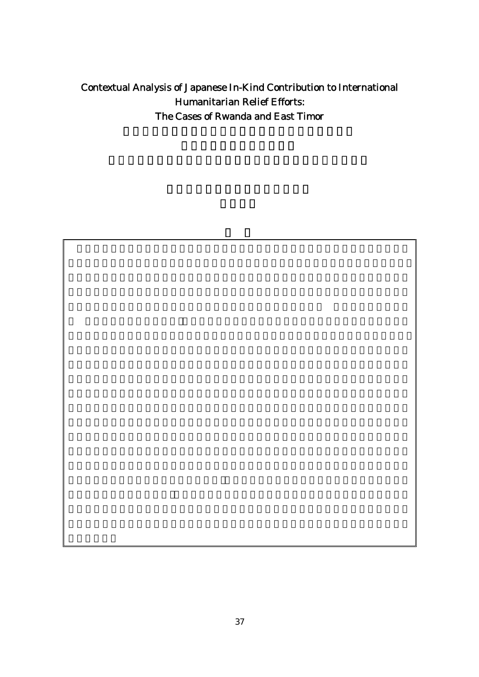# Contextual Analysis of Japanese In-Kind Contribution to International Humanitarian Relief Efforts: The Cases of Rwanda and East Timor

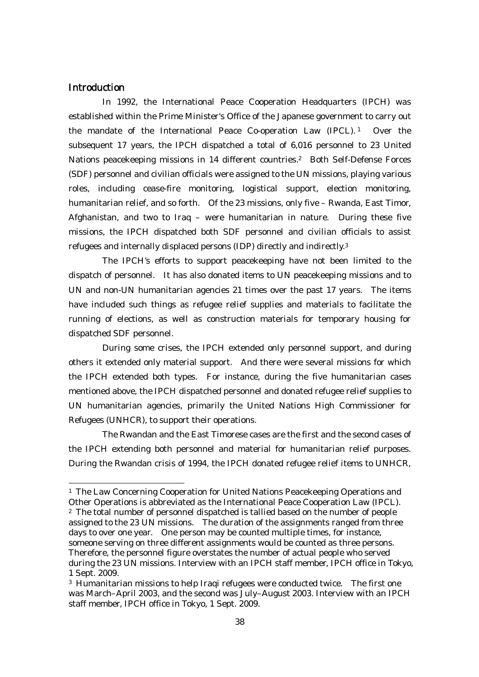# **Introduction**

 $\overline{a}$ 

In 1992, the International Peace Cooperation Headquarters (IPCH) was established within the Prime Minister's Office of the Japanese government to carry out the mandate of the International Peace Co-operation Law (IPCL). 1 Over the subsequent 17 years, the IPCH dispatched a total of 6,016 personnel to 23 United Nations peacekeeping missions in 14 different countries.<sup>2</sup> Both Self-Defense Forces (SDF) personnel and civilian officials were assigned to the UN missions, playing various roles, including cease-fire monitoring, logistical support, election monitoring, humanitarian relief, and so forth. Of the 23 missions, only five – Rwanda, East Timor, Afghanistan, and two to Iraq – were humanitarian in nature. During these five missions, the IPCH dispatched both SDF personnel and civilian officials to assist refugees and internally displaced persons (IDP) directly and indirectly.3

The IPCH's efforts to support peacekeeping have not been limited to the dispatch of personnel. It has also donated items to UN peacekeeping missions and to UN and non-UN humanitarian agencies 21 times over the past 17 years. The items have included such things as refugee relief supplies and materials to facilitate the running of elections, as well as construction materials for temporary housing for dispatched SDF personnel.

During some crises, the IPCH extended only personnel support, and during others it extended only material support. And there were several missions for which the IPCH extended both types. For instance, during the five humanitarian cases mentioned above, the IPCH dispatched personnel and donated refugee relief supplies to UN humanitarian agencies, primarily the United Nations High Commissioner for Refugees (UNHCR), to support their operations.

The Rwandan and the East Timorese cases are the first and the second cases of the IPCH extending both personnel and material for humanitarian relief purposes. During the Rwandan crisis of 1994, the IPCH donated refugee relief items to UNHCR,

<sup>&</sup>lt;sup>1</sup> The Law Concerning Cooperation for United Nations Peacekeeping Operations and Other Operations is abbreviated as the International Peace Cooperation Law (IPCL).

<sup>2</sup> The total number of personnel dispatched is tallied based on the number of people assigned to the 23 UN missions. The duration of the assignments ranged from three days to over one year. One person may be counted multiple times, for instance, someone serving on three different assignments would be counted as three persons. Therefore, the personnel figure overstates the number of actual people who served during the 23 UN missions. Interview with an IPCH staff member, IPCH office in Tokyo, 1 Sept. 2009.

<sup>3</sup> Humanitarian missions to help Iraqi refugees were conducted twice. The first one was March–April 2003, and the second was July–August 2003. Interview with an IPCH staff member, IPCH office in Tokyo, 1 Sept. 2009.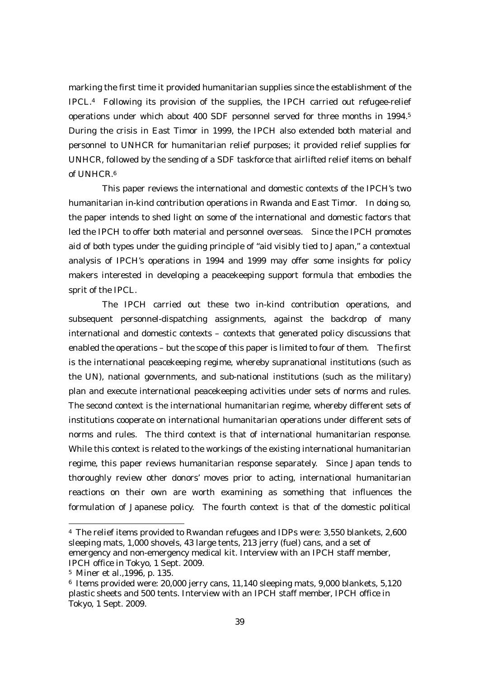marking the first time it provided humanitarian supplies since the establishment of the IPCL.4 Following its provision of the supplies, the IPCH carried out refugee-relief operations under which about 400 SDF personnel served for three months in 1994.5 During the crisis in East Timor in 1999, the IPCH also extended both material and personnel to UNHCR for humanitarian relief purposes; it provided relief supplies for UNHCR, followed by the sending of a SDF taskforce that airlifted relief items on behalf of UNHCR.6

This paper reviews the international and domestic contexts of the IPCH's two humanitarian in-kind contribution operations in Rwanda and East Timor. In doing so, the paper intends to shed light on some of the international and domestic factors that led the IPCH to offer both material and personnel overseas. Since the IPCH promotes aid of both types under the guiding principle of "aid visibly tied to Japan," a contextual analysis of IPCH's operations in 1994 and 1999 may offer some insights for policy makers interested in developing a peacekeeping support formula that embodies the sprit of the IPCL.

The IPCH carried out these two in-kind contribution operations, and subsequent personnel-dispatching assignments, against the backdrop of many international and domestic contexts – contexts that generated policy discussions that enabled the operations – but the scope of this paper is limited to four of them. The first is the international peacekeeping regime, whereby supranational institutions (such as the UN), national governments, and sub-national institutions (such as the military) plan and execute international peacekeeping activities under sets of norms and rules. The second context is the international humanitarian regime, whereby different sets of institutions cooperate on international humanitarian operations under different sets of norms and rules. The third context is that of international humanitarian response. While this context is related to the workings of the existing international humanitarian regime, this paper reviews humanitarian response separately. Since Japan tends to thoroughly review other donors' moves prior to acting, international humanitarian reactions on their own are worth examining as something that influences the formulation of Japanese policy. The fourth context is that of the domestic political

<sup>4</sup> The relief items provided to Rwandan refugees and IDPs were: 3,550 blankets, 2,600 sleeping mats, 1,000 shovels, 43 large tents, 213 jerry (fuel) cans, and a set of emergency and non-emergency medical kit. Interview with an IPCH staff member, IPCH office in Tokyo, 1 Sept. 2009.

<sup>5</sup> Miner et al.,1996, p. 135.

<sup>6</sup> Items provided were: 20,000 jerry cans, 11,140 sleeping mats, 9,000 blankets, 5,120 plastic sheets and 500 tents. Interview with an IPCH staff member, IPCH office in Tokyo, 1 Sept. 2009.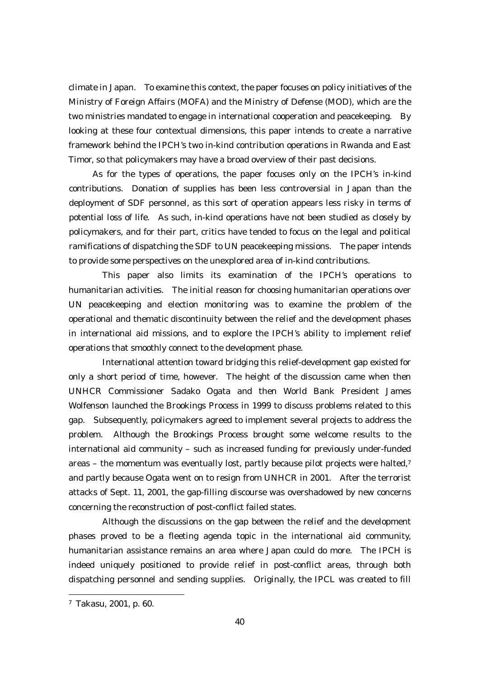climate in Japan. To examine this context, the paper focuses on policy initiatives of the Ministry of Foreign Affairs (MOFA) and the Ministry of Defense (MOD), which are the two ministries mandated to engage in international cooperation and peacekeeping. By looking at these four contextual dimensions, this paper intends to create a narrative framework behind the IPCH's two in-kind contribution operations in Rwanda and East Timor, so that policymakers may have a broad overview of their past decisions.

As for the types of operations, the paper focuses only on the IPCH's in-kind contributions. Donation of supplies has been less controversial in Japan than the deployment of SDF personnel, as this sort of operation appears less risky in terms of potential loss of life. As such, in-kind operations have not been studied as closely by policymakers, and for their part, critics have tended to focus on the legal and political ramifications of dispatching the SDF to UN peacekeeping missions. The paper intends to provide some perspectives on the unexplored area of in-kind contributions.

This paper also limits its examination of the IPCH's operations to humanitarian activities. The initial reason for choosing humanitarian operations over UN peacekeeping and election monitoring was to examine the problem of the operational and thematic discontinuity between the relief and the development phases in international aid missions, and to explore the IPCH's ability to implement relief operations that smoothly connect to the development phase.

International attention toward bridging this relief-development gap existed for only a short period of time, however. The height of the discussion came when then UNHCR Commissioner Sadako Ogata and then World Bank President James Wolfenson launched the Brookings Process in 1999 to discuss problems related to this gap. Subsequently, policymakers agreed to implement several projects to address the problem. Although the Brookings Process brought some welcome results to the international aid community – such as increased funding for previously under-funded areas – the momentum was eventually lost, partly because pilot projects were halted,7 and partly because Ogata went on to resign from UNHCR in 2001. After the terrorist attacks of Sept. 11, 2001, the gap-filling discourse was overshadowed by new concerns concerning the reconstruction of post-conflict failed states.

Although the discussions on the gap between the relief and the development phases proved to be a fleeting agenda topic in the international aid community, humanitarian assistance remains an area where Japan could do more. The IPCH is indeed uniquely positioned to provide relief in post-conflict areas, through both dispatching personnel and sending supplies. Originally, the IPCL was created to fill

<sup>7</sup> Takasu, 2001, p. 60.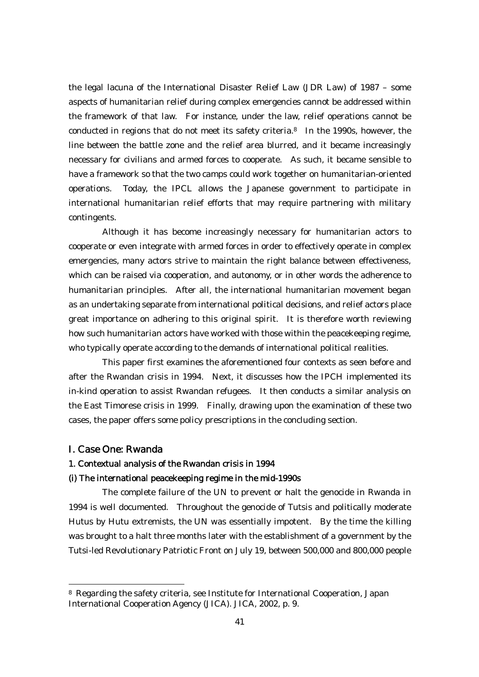the legal lacuna of the International Disaster Relief Law (JDR Law) of 1987 – some aspects of humanitarian relief during complex emergencies cannot be addressed within the framework of that law. For instance, under the law, relief operations cannot be conducted in regions that do not meet its safety criteria.8 In the 1990s, however, the line between the battle zone and the relief area blurred, and it became increasingly necessary for civilians and armed forces to cooperate. As such, it became sensible to have a framework so that the two camps could work together on humanitarian-oriented operations. Today, the IPCL allows the Japanese government to participate in international humanitarian relief efforts that may require partnering with military contingents.

Although it has become increasingly necessary for humanitarian actors to cooperate or even integrate with armed forces in order to effectively operate in complex emergencies, many actors strive to maintain the right balance between effectiveness, which can be raised via cooperation, and autonomy, or in other words the adherence to humanitarian principles. After all, the international humanitarian movement began as an undertaking separate from international political decisions, and relief actors place great importance on adhering to this original spirit. It is therefore worth reviewing how such humanitarian actors have worked with those within the peacekeeping regime, who typically operate according to the demands of international political realities.

This paper first examines the aforementioned four contexts as seen before and after the Rwandan crisis in 1994. Next, it discusses how the IPCH implemented its in-kind operation to assist Rwandan refugees. It then conducts a similar analysis on the East Timorese crisis in 1999. Finally, drawing upon the examination of these two cases, the paper offers some policy prescriptions in the concluding section.

#### I. Case One: Rwanda

 $\overline{a}$ 

### 1. Contextual analysis of the Rwandan crisis in 1994

#### (i) The international peacekeeping regime in the mid-1990s

The complete failure of the UN to prevent or halt the genocide in Rwanda in 1994 is well documented. Throughout the genocide of Tutsis and politically moderate Hutus by Hutu extremists, the UN was essentially impotent. By the time the killing was brought to a halt three months later with the establishment of a government by the Tutsi-led Revolutionary Patriotic Front on July 19, between 500,000 and 800,000 people

<sup>8</sup> Regarding the safety criteria, see Institute for International Cooperation, Japan International Cooperation Agency (JICA). JICA, 2002, p. 9.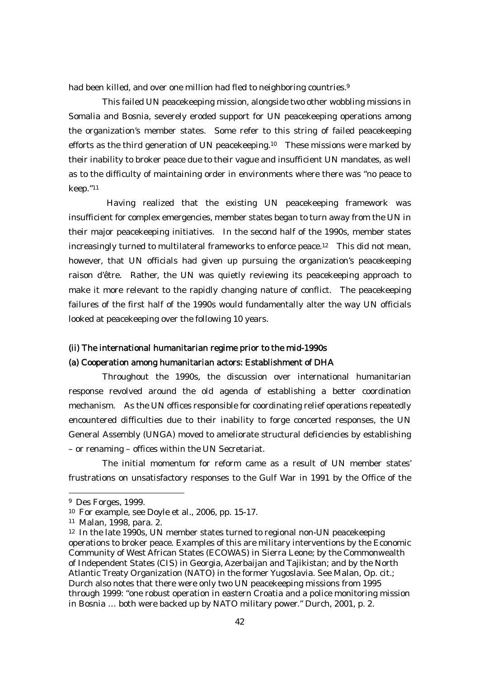had been killed, and over one million had fled to neighboring countries.<sup>9</sup>

This failed UN peacekeeping mission, alongside two other wobbling missions in Somalia and Bosnia, severely eroded support for UN peacekeeping operations among the organization's member states. Some refer to this string of failed peacekeeping efforts as the third generation of UN peacekeeping.10 These missions were marked by their inability to broker peace due to their vague and insufficient UN mandates, as well as to the difficulty of maintaining order in environments where there was "no peace to keep."11

 Having realized that the existing UN peacekeeping framework was insufficient for complex emergencies, member states began to turn away from the UN in their major peacekeeping initiatives. In the second half of the 1990s, member states increasingly turned to multilateral frameworks to enforce peace.<sup>12</sup> This did not mean, however, that UN officials had given up pursuing the organization's peacekeeping raison d'être. Rather, the UN was quietly reviewing its peacekeeping approach to make it more relevant to the rapidly changing nature of conflict. The peacekeeping failures of the first half of the 1990s would fundamentally alter the way UN officials looked at peacekeeping over the following 10 years.

#### (ii) The international humanitarian regime prior to the mid-1990s

#### (a) Cooperation among humanitarian actors: Establishment of DHA

Throughout the 1990s, the discussion over international humanitarian response revolved around the old agenda of establishing a better coordination mechanism. As the UN offices responsible for coordinating relief operations repeatedly encountered difficulties due to their inability to forge concerted responses, the UN General Assembly (UNGA) moved to ameliorate structural deficiencies by establishing – or renaming – offices within the UN Secretariat.

The initial momentum for reform came as a result of UN member states' frustrations on unsatisfactory responses to the Gulf War in 1991 by the Office of the

<sup>9</sup> Des Forges, 1999.

<sup>10</sup> For example, see Doyle et al., 2006, pp. 15-17.

<sup>11</sup> Malan, 1998, para. 2.

<sup>12</sup> In the late 1990s, UN member states turned to regional non-UN peacekeeping operations to broker peace. Examples of this are military interventions by the Economic Community of West African States (ECOWAS) in Sierra Leone; by the Commonwealth of Independent States (CIS) in Georgia, Azerbaijan and Tajikistan; and by the North Atlantic Treaty Organization (NATO) in the former Yugoslavia. See Malan, Op. cit.; Durch also notes that there were only two UN peacekeeping missions from 1995 through 1999: "one robust operation in eastern Croatia and a police monitoring mission in Bosnia … both were backed up by NATO military power." Durch, 2001, p. 2.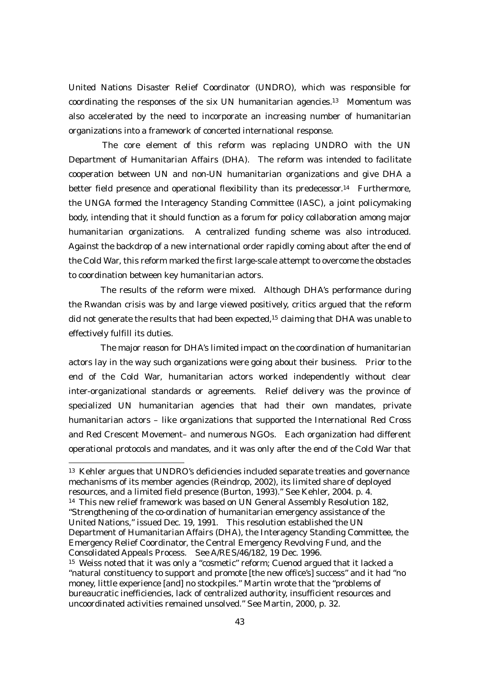United Nations Disaster Relief Coordinator (UNDRO), which was responsible for coordinating the responses of the six UN humanitarian agencies.13 Momentum was also accelerated by the need to incorporate an increasing number of humanitarian organizations into a framework of concerted international response.

The core element of this reform was replacing UNDRO with the UN Department of Humanitarian Affairs (DHA). The reform was intended to facilitate cooperation between UN and non-UN humanitarian organizations and give DHA a better field presence and operational flexibility than its predecessor.<sup>14</sup> Furthermore, the UNGA formed the Interagency Standing Committee (IASC), a joint policymaking body, intending that it should function as a forum for policy collaboration among major humanitarian organizations. A centralized funding scheme was also introduced. Against the backdrop of a new international order rapidly coming about after the end of the Cold War, this reform marked the first large-scale attempt to overcome the obstacles to coordination between key humanitarian actors.

The results of the reform were mixed. Although DHA's performance during the Rwandan crisis was by and large viewed positively, critics argued that the reform did not generate the results that had been expected,<sup>15</sup> claiming that DHA was unable to effectively fulfill its duties.

The major reason for DHA's limited impact on the coordination of humanitarian actors lay in the way such organizations were going about their business. Prior to the end of the Cold War, humanitarian actors worked independently without clear inter-organizational standards or agreements. Relief delivery was the province of specialized UN humanitarian agencies that had their own mandates, private humanitarian actors – like organizations that supported the International Red Cross and Red Crescent Movement– and numerous NGOs. Each organization had different operational protocols and mandates, and it was only after the end of the Cold War that

13 Kehler argues that UNDRO's deficiencies included separate treaties and governance mechanisms of its member agencies (Reindrop, 2002), its limited share of deployed resources, and a limited field presence (Burton, 1993)." See Kehler, 2004. p. 4. 14 This new relief framework was based on UN General Assembly Resolution 182, "Strengthening of the co-ordination of humanitarian emergency assistance of the

 $\overline{a}$ 

United Nations," issued Dec. 19, 1991. This resolution established the UN Department of Humanitarian Affairs (DHA), the Interagency Standing Committee, the Emergency Relief Coordinator, the Central Emergency Revolving Fund, and the Consolidated Appeals Process. See A/RES/46/182, 19 Dec. 1996.

<sup>15</sup> Weiss noted that it was only a "cosmetic" reform; Cuenod argued that it lacked a "natural constituency to support and promote [the new office's] success" and it had "no money, little experience [and] no stockpiles." Martin wrote that the "problems of bureaucratic inefficiencies, lack of centralized authority, insufficient resources and uncoordinated activities remained unsolved." See Martin, 2000, p. 32.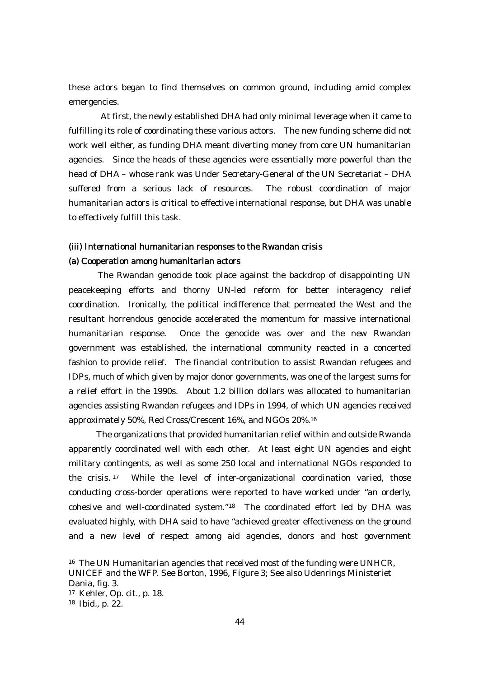these actors began to find themselves on common ground, including amid complex emergencies.

At first, the newly established DHA had only minimal leverage when it came to fulfilling its role of coordinating these various actors. The new funding scheme did not work well either, as funding DHA meant diverting money from core UN humanitarian agencies. Since the heads of these agencies were essentially more powerful than the head of DHA – whose rank was Under Secretary-General of the UN Secretariat – DHA suffered from a serious lack of resources. The robust coordination of major humanitarian actors is critical to effective international response, but DHA was unable to effectively fulfill this task.

# (iii) International humanitarian responses to the Rwandan crisis

# (a) Cooperation among humanitarian actors

The Rwandan genocide took place against the backdrop of disappointing UN peacekeeping efforts and thorny UN-led reform for better interagency relief coordination. Ironically, the political indifference that permeated the West and the resultant horrendous genocide accelerated the momentum for massive international humanitarian response. Once the genocide was over and the new Rwandan government was established, the international community reacted in a concerted fashion to provide relief. The financial contribution to assist Rwandan refugees and IDPs, much of which given by major donor governments, was one of the largest sums for a relief effort in the 1990s. About 1.2 billion dollars was allocated to humanitarian agencies assisting Rwandan refugees and IDPs in 1994, of which UN agencies received approximately 50%, Red Cross/Crescent 16%, and NGOs 20%.16

The organizations that provided humanitarian relief within and outside Rwanda apparently coordinated well with each other. At least eight UN agencies and eight military contingents, as well as some 250 local and international NGOs responded to the crisis. 17 While the level of inter-organizational coordination varied, those conducting cross-border operations were reported to have worked under "an orderly, cohesive and well-coordinated system."18 The coordinated effort led by DHA was evaluated highly, with DHA said to have "achieved greater effectiveness on the ground and a new level of respect among aid agencies, donors and host government

<sup>16</sup> The UN Humanitarian agencies that received most of the funding were UNHCR, UNICEF and the WFP. See Borton, 1996, Figure 3; See also Udenrings Ministeriet Dania, fig. 3.

<sup>17</sup> Kehler, Op. cit., p. 18.

<sup>18</sup> Ibid., p. 22.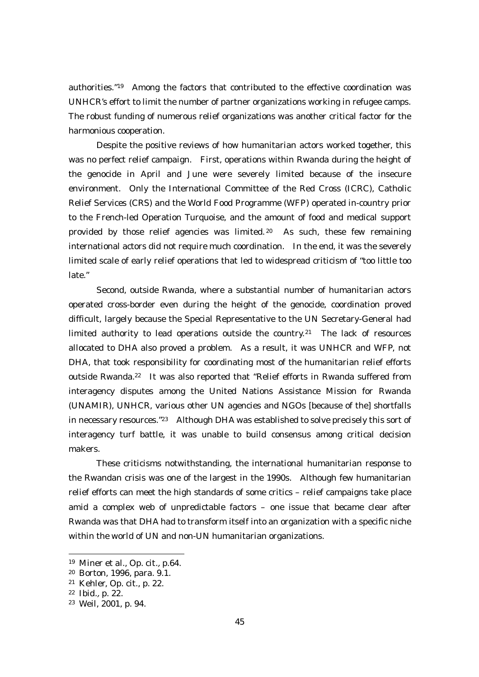authorities."19 Among the factors that contributed to the effective coordination was UNHCR's effort to limit the number of partner organizations working in refugee camps. The robust funding of numerous relief organizations was another critical factor for the harmonious cooperation.

Despite the positive reviews of how humanitarian actors worked together, this was no perfect relief campaign. First, operations within Rwanda during the height of the genocide in April and June were severely limited because of the insecure environment. Only the International Committee of the Red Cross (ICRC), Catholic Relief Services (CRS) and the World Food Programme (WFP) operated in-country prior to the French-led Operation Turquoise, and the amount of food and medical support provided by those relief agencies was limited. 20 As such, these few remaining international actors did not require much coordination. In the end, it was the severely limited scale of early relief operations that led to widespread criticism of "too little too late."

Second, outside Rwanda, where a substantial number of humanitarian actors operated cross-border even during the height of the genocide, coordination proved difficult, largely because the Special Representative to the UN Secretary-General had limited authority to lead operations outside the country.<sup>21</sup> The lack of resources allocated to DHA also proved a problem. As a result, it was UNHCR and WFP, not DHA, that took responsibility for coordinating most of the humanitarian relief efforts outside Rwanda.22 It was also reported that "Relief efforts in Rwanda suffered from interagency disputes among the United Nations Assistance Mission for Rwanda (UNAMIR), UNHCR, various other UN agencies and NGOs [because of the] shortfalls in necessary resources."23 Although DHA was established to solve precisely this sort of interagency turf battle, it was unable to build consensus among critical decision makers.

These criticisms notwithstanding, the international humanitarian response to the Rwandan crisis was one of the largest in the 1990s. Although few humanitarian relief efforts can meet the high standards of some critics – relief campaigns take place amid a complex web of unpredictable factors – one issue that became clear after Rwanda was that DHA had to transform itself into an organization with a specific niche within the world of UN and non-UN humanitarian organizations.

<sup>19</sup> Miner et al., Op. cit., p.64.

<sup>20</sup> Borton, 1996, para. 9.1.

<sup>21</sup> Kehler, Op. cit., p. 22.

<sup>22</sup> Ibid., p. 22.

<sup>23</sup> Weil, 2001, p. 94.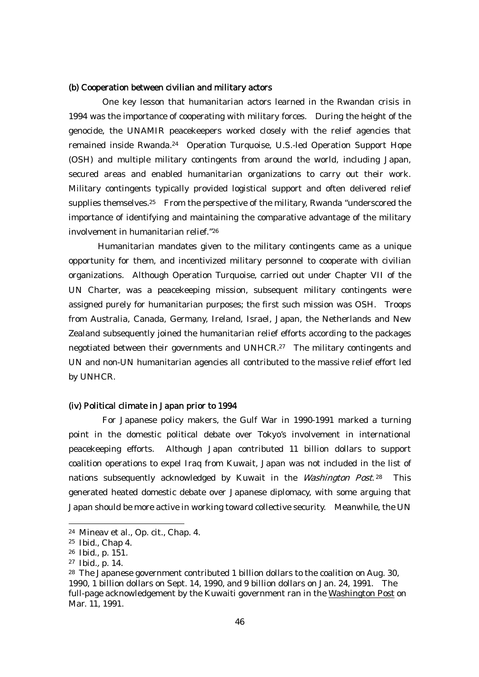## (b) Cooperation between civilian and military actors

One key lesson that humanitarian actors learned in the Rwandan crisis in 1994 was the importance of cooperating with military forces. During the height of the genocide, the UNAMIR peacekeepers worked closely with the relief agencies that remained inside Rwanda.24 Operation Turquoise, U.S.-led Operation Support Hope (OSH) and multiple military contingents from around the world, including Japan, secured areas and enabled humanitarian organizations to carry out their work. Military contingents typically provided logistical support and often delivered relief supplies themselves.<sup>25</sup> From the perspective of the military, Rwanda "underscored the importance of identifying and maintaining the comparative advantage of the military involvement in humanitarian relief."26

Humanitarian mandates given to the military contingents came as a unique opportunity for them, and incentivized military personnel to cooperate with civilian organizations. Although Operation Turquoise, carried out under Chapter VII of the UN Charter, was a peacekeeping mission, subsequent military contingents were assigned purely for humanitarian purposes; the first such mission was OSH. Troops from Australia, Canada, Germany, Ireland, Israel, Japan, the Netherlands and New Zealand subsequently joined the humanitarian relief efforts according to the packages negotiated between their governments and UNHCR.27 The military contingents and UN and non-UN humanitarian agencies all contributed to the massive relief effort led by UNHCR.

#### (iv) Political climate in Japan prior to 1994

For Japanese policy makers, the Gulf War in 1990-1991 marked a turning point in the domestic political debate over Tokyo's involvement in international peacekeeping efforts. Although Japan contributed 11 billion dollars to support coalition operations to expel Iraq from Kuwait, Japan was not included in the list of nations subsequently acknowledged by Kuwait in the *Washington Post*.<sup>28</sup> This generated heated domestic debate over Japanese diplomacy, with some arguing that Japan should be more active in working toward collective security. Meanwhile, the UN

<sup>24</sup> Mineav et al., Op. cit., Chap. 4.

<sup>25</sup> Ibid., Chap 4.

<sup>26</sup> Ibid., p. 151.

<sup>27</sup> Ibid., p. 14.

<sup>28</sup> The Japanese government contributed 1 billion dollars to the coalition on Aug. 30, 1990, 1 billion dollars on Sept. 14, 1990, and 9 billion dollars on Jan. 24, 1991. The full-page acknowledgement by the Kuwaiti government ran in the Washington Post on Mar. 11, 1991.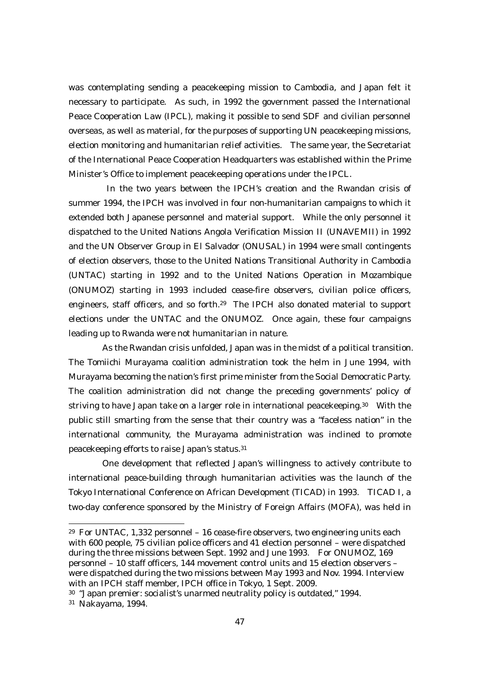was contemplating sending a peacekeeping mission to Cambodia, and Japan felt it necessary to participate. As such, in 1992 the government passed the International Peace Cooperation Law (IPCL), making it possible to send SDF and civilian personnel overseas, as well as material, for the purposes of supporting UN peacekeeping missions, election monitoring and humanitarian relief activities. The same year, the Secretariat of the International Peace Cooperation Headquarters was established within the Prime Minister's Office to implement peacekeeping operations under the IPCL.

 In the two years between the IPCH's creation and the Rwandan crisis of summer 1994, the IPCH was involved in four non-humanitarian campaigns to which it extended both Japanese personnel and material support. While the only personnel it dispatched to the United Nations Angola Verification Mission II (UNAVEMII) in 1992 and the UN Observer Group in El Salvador (ONUSAL) in 1994 were small contingents of election observers, those to the United Nations Transitional Authority in Cambodia (UNTAC) starting in 1992 and to the United Nations Operation in Mozambique (ONUMOZ) starting in 1993 included cease-fire observers, civilian police officers, engineers, staff officers, and so forth.<sup>29</sup> The IPCH also donated material to support elections under the UNTAC and the ONUMOZ. Once again, these four campaigns leading up to Rwanda were not humanitarian in nature.

As the Rwandan crisis unfolded, Japan was in the midst of a political transition. The Tomiichi Murayama coalition administration took the helm in June 1994, with Murayama becoming the nation's first prime minister from the Social Democratic Party. The coalition administration did not change the preceding governments' policy of striving to have Japan take on a larger role in international peacekeeping.30 With the public still smarting from the sense that their country was a "faceless nation" in the international community, the Murayama administration was inclined to promote peacekeeping efforts to raise Japan's status.31

One development that reflected Japan's willingness to actively contribute to international peace-building through humanitarian activities was the launch of the Tokyo International Conference on African Development (TICAD) in 1993. TICAD I, a two-day conference sponsored by the Ministry of Foreign Affairs (MOFA), was held in

<sup>&</sup>lt;sup>29</sup> For UNTAC, 1,332 personnel  $-16$  cease-fire observers, two engineering units each with 600 people, 75 civilian police officers and 41 election personnel – were dispatched during the three missions between Sept. 1992 and June 1993. For ONUMOZ, 169 personnel – 10 staff officers, 144 movement control units and 15 election observers – were dispatched during the two missions between May 1993 and Nov. 1994. Interview with an IPCH staff member, IPCH office in Tokyo, 1 Sept. 2009.

<sup>30 &</sup>quot;Japan premier: socialist's unarmed neutrality policy is outdated," 1994. 31 Nakayama, 1994.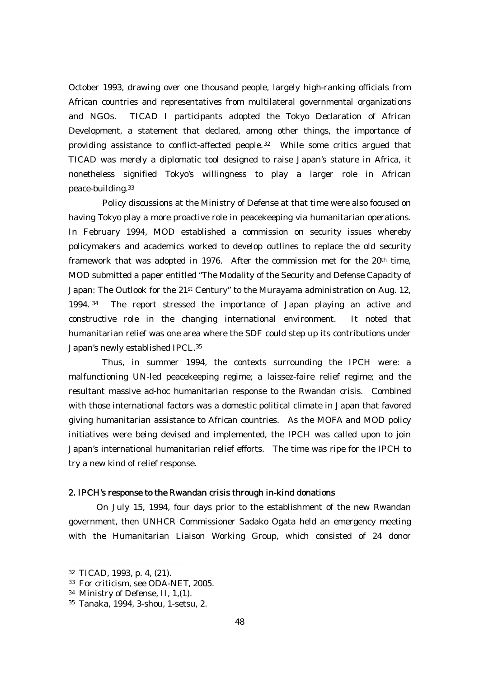October 1993, drawing over one thousand people, largely high-ranking officials from African countries and representatives from multilateral governmental organizations and NGOs. TICAD I participants adopted the Tokyo Declaration of African Development, a statement that declared, among other things, the importance of providing assistance to conflict-affected people.32 While some critics argued that TICAD was merely a diplomatic tool designed to raise Japan's stature in Africa, it nonetheless signified Tokyo's willingness to play a larger role in African peace-building.33

Policy discussions at the Ministry of Defense at that time were also focused on having Tokyo play a more proactive role in peacekeeping via humanitarian operations. In February 1994, MOD established a commission on security issues whereby policymakers and academics worked to develop outlines to replace the old security framework that was adopted in 1976. After the commission met for the 20<sup>th</sup> time, MOD submitted a paper entitled "The Modality of the Security and Defense Capacity of Japan: The Outlook for the 21st Century" to the Murayama administration on Aug. 12, 1994. 34 The report stressed the importance of Japan playing an active and constructive role in the changing international environment. It noted that humanitarian relief was one area where the SDF could step up its contributions under Japan's newly established IPCL.35

Thus, in summer 1994, the contexts surrounding the IPCH were: a malfunctioning UN-led peacekeeping regime; a laissez-faire relief regime; and the resultant massive ad-hoc humanitarian response to the Rwandan crisis. Combined with those international factors was a domestic political climate in Japan that favored giving humanitarian assistance to African countries. As the MOFA and MOD policy initiatives were being devised and implemented, the IPCH was called upon to join Japan's international humanitarian relief efforts. The time was ripe for the IPCH to try a new kind of relief response.

## 2. IPCH's response to the Rwandan crisis through in-kind donations

On July 15, 1994, four days prior to the establishment of the new Rwandan government, then UNHCR Commissioner Sadako Ogata held an emergency meeting with the Humanitarian Liaison Working Group, which consisted of 24 donor

<sup>32</sup> TICAD, 1993, p. 4, (21).

<sup>33</sup> For criticism, see ODA-NET, 2005.

<sup>34</sup> Ministry of Defense, II, 1,(1).

<sup>35</sup> Tanaka, 1994, 3-shou, 1-setsu, 2.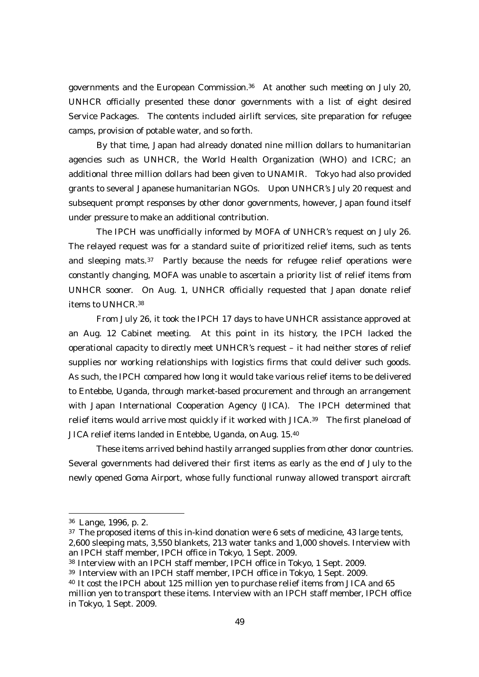governments and the European Commission.36 At another such meeting on July 20, UNHCR officially presented these donor governments with a list of eight desired Service Packages. The contents included airlift services, site preparation for refugee camps, provision of potable water, and so forth.

By that time, Japan had already donated nine million dollars to humanitarian agencies such as UNHCR, the World Health Organization (WHO) and ICRC; an additional three million dollars had been given to UNAMIR. Tokyo had also provided grants to several Japanese humanitarian NGOs. Upon UNHCR's July 20 request and subsequent prompt responses by other donor governments, however, Japan found itself under pressure to make an additional contribution.

The IPCH was unofficially informed by MOFA of UNHCR's request on July 26. The relayed request was for a standard suite of prioritized relief items, such as tents and sleeping mats.<sup>37</sup> Partly because the needs for refugee relief operations were constantly changing, MOFA was unable to ascertain a priority list of relief items from UNHCR sooner. On Aug. 1, UNHCR officially requested that Japan donate relief items to UNHCR.38

From July 26, it took the IPCH 17 days to have UNHCR assistance approved at an Aug. 12 Cabinet meeting. At this point in its history, the IPCH lacked the operational capacity to directly meet UNHCR's request – it had neither stores of relief supplies nor working relationships with logistics firms that could deliver such goods. As such, the IPCH compared how long it would take various relief items to be delivered to Entebbe, Uganda, through market-based procurement and through an arrangement with Japan International Cooperation Agency (JICA). The IPCH determined that relief items would arrive most quickly if it worked with JICA.39 The first planeload of JICA relief items landed in Entebbe, Uganda, on Aug. 15.40

These items arrived behind hastily arranged supplies from other donor countries. Several governments had delivered their first items as early as the end of July to the newly opened Goma Airport, whose fully functional runway allowed transport aircraft

<sup>36</sup> Lange, 1996, p. 2.

 $37$  The proposed items of this in-kind donation were 6 sets of medicine, 43 large tents, 2,600 sleeping mats, 3,550 blankets, 213 water tanks and 1,000 shovels. Interview with an IPCH staff member, IPCH office in Tokyo, 1 Sept. 2009.

<sup>38</sup> Interview with an IPCH staff member, IPCH office in Tokyo, 1 Sept. 2009.

<sup>39</sup> Interview with an IPCH staff member, IPCH office in Tokyo, 1 Sept. 2009.

<sup>40</sup> It cost the IPCH about 125 million yen to purchase relief items from JICA and 65 million yen to transport these items. Interview with an IPCH staff member, IPCH office in Tokyo, 1 Sept. 2009.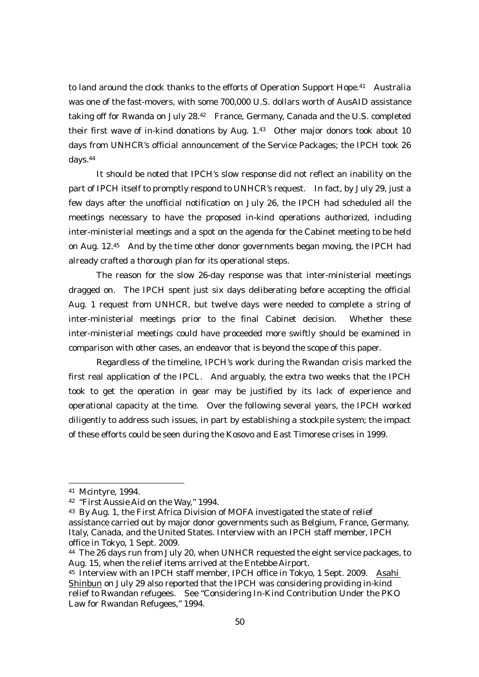to land around the clock thanks to the efforts of Operation Support Hope.41 Australia was one of the fast-movers, with some 700,000 U.S. dollars worth of AusAID assistance taking off for Rwanda on July 28.42 France, Germany, Canada and the U.S. completed their first wave of in-kind donations by Aug.  $1.43$  Other major donors took about 10 days from UNHCR's official announcement of the Service Packages; the IPCH took 26 days.44

It should be noted that IPCH's slow response did not reflect an inability on the part of IPCH itself to promptly respond to UNHCR's request. In fact, by July 29, just a few days after the unofficial notification on July 26, the IPCH had scheduled all the meetings necessary to have the proposed in-kind operations authorized, including inter-ministerial meetings and a spot on the agenda for the Cabinet meeting to be held on Aug. 12.45 And by the time other donor governments began moving, the IPCH had already crafted a thorough plan for its operational steps.

The reason for the slow 26-day response was that inter-ministerial meetings dragged on. The IPCH spent just six days deliberating before accepting the official Aug. 1 request from UNHCR, but twelve days were needed to complete a string of inter-ministerial meetings prior to the final Cabinet decision. Whether these inter-ministerial meetings could have proceeded more swiftly should be examined in comparison with other cases, an endeavor that is beyond the scope of this paper.

Regardless of the timeline, IPCH's work during the Rwandan crisis marked the first real application of the IPCL. And arguably, the extra two weeks that the IPCH took to get the operation in gear may be justified by its lack of experience and operational capacity at the time. Over the following several years, the IPCH worked diligently to address such issues, in part by establishing a stockpile system; the impact of these efforts could be seen during the Kosovo and East Timorese crises in 1999.

<sup>41</sup> Mcintyre, 1994.

<sup>42 &</sup>quot;First Aussie Aid on the Way," 1994.

<sup>43</sup> By Aug. 1, the First Africa Division of MOFA investigated the state of relief assistance carried out by major donor governments such as Belgium, France, Germany, Italy, Canada, and the United States. Interview with an IPCH staff member, IPCH office in Tokyo, 1 Sept. 2009.<br><sup>44</sup> The 26 days run from July 20, when UNHCR requested the eight service packages, to

Aug. 15, when the relief items arrived at the Entebbe Airport.

<sup>&</sup>lt;sup>45</sup> Interview with an IPCH staff member, IPCH office in Tokyo, 1 Sept. 2009. Asahi Shinbun on July 29 also reported that the IPCH was considering providing in-kind relief to Rwandan refugees. See "Considering In-Kind Contribution Under the PKO Law for Rwandan Refugees," 1994.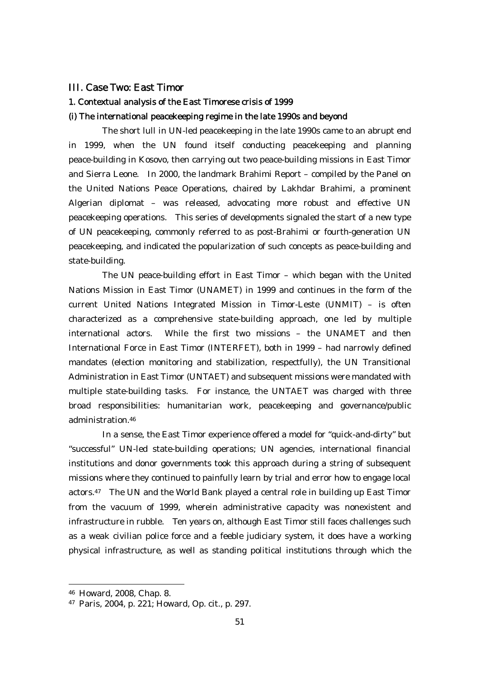## III. Case Two: East Timor

### 1. Contextual analysis of the East Timorese crisis of 1999

# (i) The international peacekeeping regime in the late 1990s and beyond

The short lull in UN-led peacekeeping in the late 1990s came to an abrupt end in 1999, when the UN found itself conducting peacekeeping and planning peace-building in Kosovo, then carrying out two peace-building missions in East Timor and Sierra Leone. In 2000, the landmark Brahimi Report – compiled by the Panel on the United Nations Peace Operations, chaired by Lakhdar Brahimi, a prominent Algerian diplomat – was released, advocating more robust and effective UN peacekeeping operations. This series of developments signaled the start of a new type of UN peacekeeping, commonly referred to as post-Brahimi or fourth-generation UN peacekeeping, and indicated the popularization of such concepts as peace-building and state-building.

The UN peace-building effort in East Timor – which began with the United Nations Mission in East Timor (UNAMET) in 1999 and continues in the form of the current United Nations Integrated Mission in Timor-Leste (UNMIT) – is often characterized as a comprehensive state-building approach, one led by multiple international actors. While the first two missions – the UNAMET and then International Force in East Timor (INTERFET), both in 1999 – had narrowly defined mandates (election monitoring and stabilization, respectfully), the UN Transitional Administration in East Timor (UNTAET) and subsequent missions were mandated with multiple state-building tasks. For instance, the UNTAET was charged with three broad responsibilities: humanitarian work, peacekeeping and governance/public administration.46

In a sense, the East Timor experience offered a model for "quick-and-dirty" but "successful" UN-led state-building operations; UN agencies, international financial institutions and donor governments took this approach during a string of subsequent missions where they continued to painfully learn by trial and error how to engage local actors.47 The UN and the World Bank played a central role in building up East Timor from the vacuum of 1999, wherein administrative capacity was nonexistent and infrastructure in rubble. Ten years on, although East Timor still faces challenges such as a weak civilian police force and a feeble judiciary system, it does have a working physical infrastructure, as well as standing political institutions through which the

<sup>46</sup> Howard, 2008, Chap. 8.

<sup>47</sup> Paris, 2004, p. 221; Howard, Op. cit., p. 297.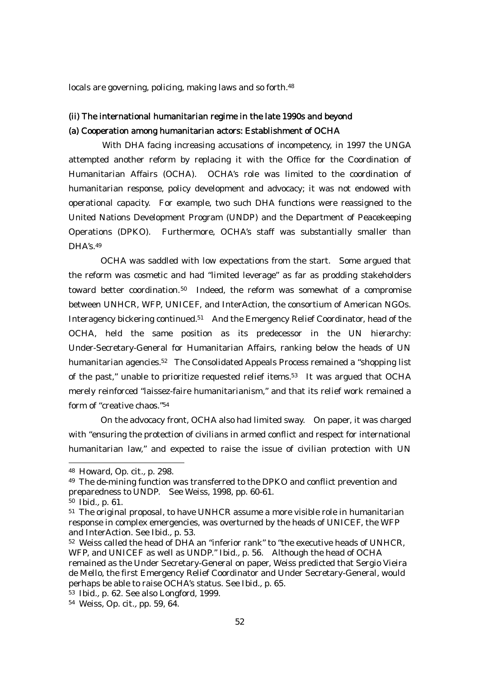locals are governing, policing, making laws and so forth.<sup>48</sup>

# (ii) The international humanitarian regime in the late 1990s and beyond (a) Cooperation among humanitarian actors: Establishment of OCHA

With DHA facing increasing accusations of incompetency, in 1997 the UNGA attempted another reform by replacing it with the Office for the Coordination of Humanitarian Affairs (OCHA). OCHA's role was limited to the coordination of humanitarian response, policy development and advocacy; it was not endowed with operational capacity. For example, two such DHA functions were reassigned to the United Nations Development Program (UNDP) and the Department of Peacekeeping Operations (DPKO). Furthermore, OCHA's staff was substantially smaller than  $DHA's<sub>149</sub>$ 

OCHA was saddled with low expectations from the start. Some argued that the reform was cosmetic and had "limited leverage" as far as prodding stakeholders toward better coordination.<sup>50</sup> Indeed, the reform was somewhat of a compromise between UNHCR, WFP, UNICEF, and InterAction, the consortium of American NGOs. Interagency bickering continued.51 And the Emergency Relief Coordinator, head of the OCHA, held the same position as its predecessor in the UN hierarchy: Under-Secretary-General for Humanitarian Affairs, ranking below the heads of UN humanitarian agencies.<sup>52</sup> The Consolidated Appeals Process remained a "shopping list of the past," unable to prioritize requested relief items.53 It was argued that OCHA merely reinforced "laissez-faire humanitarianism," and that its relief work remained a form of "creative chaos."54

On the advocacy front, OCHA also had limited sway. On paper, it was charged with "ensuring the protection of civilians in armed conflict and respect for international humanitarian law," and expected to raise the issue of civilian protection with UN

<sup>48</sup> Howard, Op. cit., p. 298.

<sup>49</sup> The de-mining function was transferred to the DPKO and conflict prevention and preparedness to UNDP. See Weiss, 1998, pp. 60-61.

<sup>50</sup> Ibid., p. 61.

<sup>51</sup> The original proposal, to have UNHCR assume a more visible role in humanitarian response in complex emergencies, was overturned by the heads of UNICEF, the WFP and InterAction. See Ibid., p. 53.

<sup>52</sup> Weiss called the head of DHA an "inferior rank" to "the executive heads of UNHCR, WFP, and UNICEF as well as UNDP." Ibid., p. 56. Although the head of OCHA remained as the Under Secretary-General on paper, Weiss predicted that Sergio Vieira de Mello, the first Emergency Relief Coordinator and Under Secretary-General, would perhaps be able to raise OCHA's status. See Ibid., p. 65.

<sup>53</sup> Ibid., p. 62. See also Longford, 1999.

<sup>54</sup> Weiss, Op. cit., pp. 59, 64.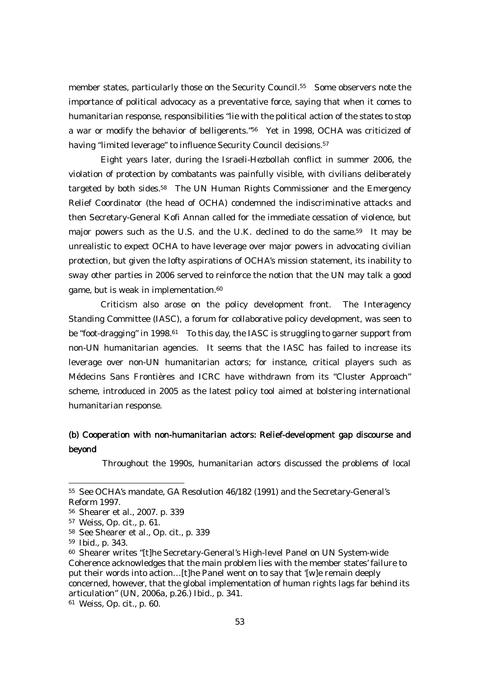member states, particularly those on the Security Council.55 Some observers note the importance of political advocacy as a preventative force, saying that when it comes to humanitarian response, responsibilities "lie with the political action of the states to stop a war or modify the behavior of belligerents."56 Yet in 1998, OCHA was criticized of having "limited leverage" to influence Security Council decisions.<sup>57</sup>

Eight years later, during the Israeli-Hezbollah conflict in summer 2006, the violation of protection by combatants was painfully visible, with civilians deliberately targeted by both sides.<sup>58</sup> The UN Human Rights Commissioner and the Emergency Relief Coordinator (the head of OCHA) condemned the indiscriminative attacks and then Secretary-General Kofi Annan called for the immediate cessation of violence, but major powers such as the U.S. and the U.K. declined to do the same.<sup>59</sup> It may be unrealistic to expect OCHA to have leverage over major powers in advocating civilian protection, but given the lofty aspirations of OCHA's mission statement, its inability to sway other parties in 2006 served to reinforce the notion that the UN may talk a good game, but is weak in implementation.60

Criticism also arose on the policy development front. The Interagency Standing Committee (IASC), a forum for collaborative policy development, was seen to be "foot-dragging" in 1998.<sup>61</sup> To this day, the IASC is struggling to garner support from non-UN humanitarian agencies. It seems that the IASC has failed to increase its leverage over non-UN humanitarian actors; for instance, critical players such as Médecins Sans Frontières and ICRC have withdrawn from its "Cluster Approach" scheme, introduced in 2005 as the latest policy tool aimed at bolstering international humanitarian response.

# (b) Cooperation with non-humanitarian actors: Relief-development gap discourse and beyond

Throughout the 1990s, humanitarian actors discussed the problems of local

<sup>55</sup> See OCHA's mandate, GA Resolution 46/182 (1991) and the Secretary-General's Reform 1997.

<sup>56</sup> Shearer et al., 2007. p. 339

<sup>57</sup> Weiss, Op. cit., p. 61.

<sup>58</sup> See Shearer et al., Op. cit., p. 339

<sup>59</sup> Ibid., p. 343.

<sup>60</sup> Shearer writes "[t]he Secretary-General's High-level Panel on UN System-wide Coherence acknowledges that the main problem lies with the member states' failure to put their words into action…[t]he Panel went on to say that '[w]e remain deeply concerned, however, that the global implementation of human rights lags far behind its articulation" (UN, 2006a, p.26.) Ibid., p. 341.

<sup>61</sup> Weiss, Op. cit., p. 60.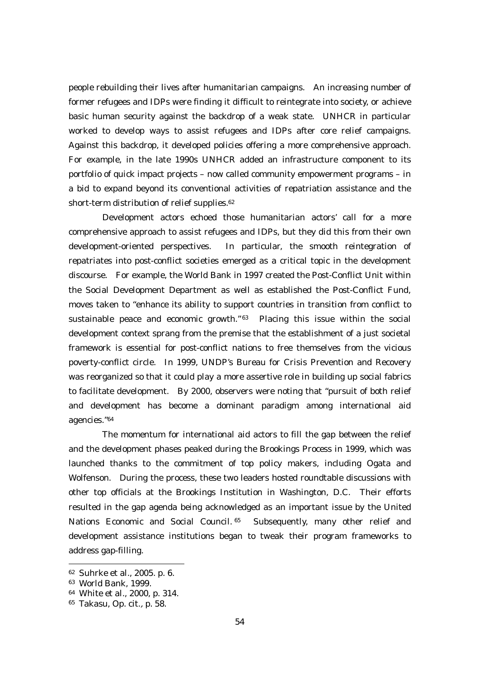people rebuilding their lives after humanitarian campaigns. An increasing number of former refugees and IDPs were finding it difficult to reintegrate into society, or achieve basic human security against the backdrop of a weak state. UNHCR in particular worked to develop ways to assist refugees and IDPs after core relief campaigns. Against this backdrop, it developed policies offering a more comprehensive approach. For example, in the late 1990s UNHCR added an infrastructure component to its portfolio of quick impact projects – now called community empowerment programs – in a bid to expand beyond its conventional activities of repatriation assistance and the short-term distribution of relief supplies.<sup>62</sup>

Development actors echoed those humanitarian actors' call for a more comprehensive approach to assist refugees and IDPs, but they did this from their own development-oriented perspectives. In particular, the smooth reintegration of repatriates into post-conflict societies emerged as a critical topic in the development discourse. For example, the World Bank in 1997 created the Post-Conflict Unit within the Social Development Department as well as established the Post-Conflict Fund, moves taken to "enhance its ability to support countries in transition from conflict to sustainable peace and economic growth."<sup>63</sup> Placing this issue within the social development context sprang from the premise that the establishment of a just societal framework is essential for post-conflict nations to free themselves from the vicious poverty-conflict circle. In 1999, UNDP's Bureau for Crisis Prevention and Recovery was reorganized so that it could play a more assertive role in building up social fabrics to facilitate development. By 2000, observers were noting that "pursuit of both relief and development has become a dominant paradigm among international aid agencies."64

The momentum for international aid actors to fill the gap between the relief and the development phases peaked during the Brookings Process in 1999, which was launched thanks to the commitment of top policy makers, including Ogata and Wolfenson. During the process, these two leaders hosted roundtable discussions with other top officials at the Brookings Institution in Washington, D.C. Their efforts resulted in the gap agenda being acknowledged as an important issue by the United Nations Economic and Social Council. 65 Subsequently, many other relief and development assistance institutions began to tweak their program frameworks to address gap-filling.

<sup>62</sup> Suhrke et al., 2005. p. 6.

<sup>63</sup> World Bank, 1999.

<sup>64</sup> White et al., 2000, p. 314.

<sup>65</sup> Takasu, Op. cit., p. 58.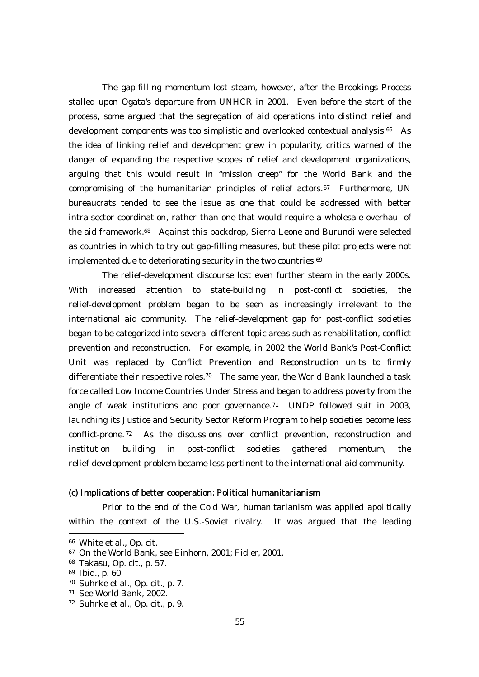The gap-filling momentum lost steam, however, after the Brookings Process stalled upon Ogata's departure from UNHCR in 2001. Even before the start of the process, some argued that the segregation of aid operations into distinct relief and development components was too simplistic and overlooked contextual analysis.<sup>66</sup> As the idea of linking relief and development grew in popularity, critics warned of the danger of expanding the respective scopes of relief and development organizations, arguing that this would result in "mission creep" for the World Bank and the compromising of the humanitarian principles of relief actors.<sup>67</sup> Furthermore, UN bureaucrats tended to see the issue as one that could be addressed with better intra-sector coordination, rather than one that would require a wholesale overhaul of the aid framework.68 Against this backdrop, Sierra Leone and Burundi were selected as countries in which to try out gap-filling measures, but these pilot projects were not implemented due to deteriorating security in the two countries.<sup>69</sup>

The relief-development discourse lost even further steam in the early 2000s. With increased attention to state-building in post-conflict societies, the relief-development problem began to be seen as increasingly irrelevant to the international aid community. The relief-development gap for post-conflict societies began to be categorized into several different topic areas such as rehabilitation, conflict prevention and reconstruction. For example, in 2002 the World Bank's Post-Conflict Unit was replaced by Conflict Prevention and Reconstruction units to firmly differentiate their respective roles.70 The same year, the World Bank launched a task force called Low Income Countries Under Stress and began to address poverty from the angle of weak institutions and poor governance.71 UNDP followed suit in 2003, launching its Justice and Security Sector Reform Program to help societies become less conflict-prone. 72 As the discussions over conflict prevention, reconstruction and institution building in post-conflict societies gathered momentum, the relief-development problem became less pertinent to the international aid community.

# (c) Implications of better cooperation: Political humanitarianism

Prior to the end of the Cold War, humanitarianism was applied apolitically within the context of the U.S.-Soviet rivalry. It was argued that the leading

<sup>66</sup> White et al., Op. cit.

<sup>67</sup> On the World Bank, see Einhorn, 2001; Fidler, 2001.

<sup>68</sup> Takasu, Op. cit., p. 57.

<sup>69</sup> Ibid., p. 60.

<sup>70</sup> Suhrke et al., Op. cit., p. 7.

<sup>71</sup> See World Bank, 2002.

<sup>72</sup> Suhrke et al., Op. cit., p. 9.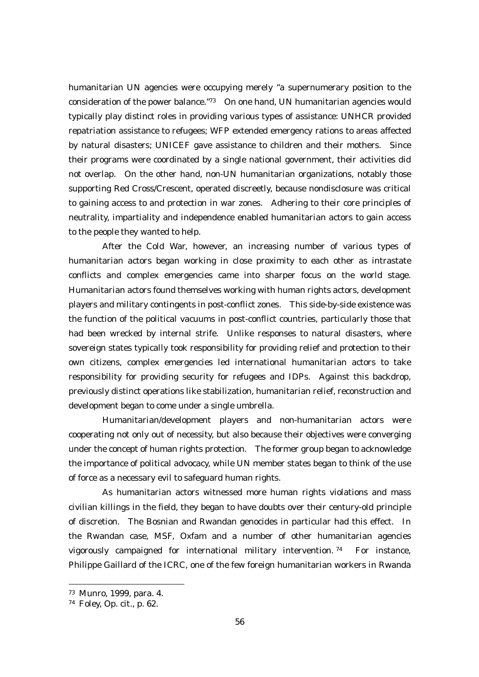humanitarian UN agencies were occupying merely "a supernumerary position to the consideration of the power balance."73 On one hand, UN humanitarian agencies would typically play distinct roles in providing various types of assistance: UNHCR provided repatriation assistance to refugees; WFP extended emergency rations to areas affected by natural disasters; UNICEF gave assistance to children and their mothers. Since their programs were coordinated by a single national government, their activities did not overlap. On the other hand, non-UN humanitarian organizations, notably those supporting Red Cross/Crescent, operated discreetly, because nondisclosure was critical to gaining access to and protection in war zones. Adhering to their core principles of neutrality, impartiality and independence enabled humanitarian actors to gain access to the people they wanted to help.

After the Cold War, however, an increasing number of various types of humanitarian actors began working in close proximity to each other as intrastate conflicts and complex emergencies came into sharper focus on the world stage. Humanitarian actors found themselves working with human rights actors, development players and military contingents in post-conflict zones. This side-by-side existence was the function of the political vacuums in post-conflict countries, particularly those that had been wrecked by internal strife. Unlike responses to natural disasters, where sovereign states typically took responsibility for providing relief and protection to their own citizens, complex emergencies led international humanitarian actors to take responsibility for providing security for refugees and IDPs. Against this backdrop, previously distinct operations like stabilization, humanitarian relief, reconstruction and development began to come under a single umbrella.

Humanitarian/development players and non-humanitarian actors were cooperating not only out of necessity, but also because their objectives were converging under the concept of human rights protection. The former group began to acknowledge the importance of political advocacy, while UN member states began to think of the use of force as a necessary evil to safeguard human rights.

As humanitarian actors witnessed more human rights violations and mass civilian killings in the field, they began to have doubts over their century-old principle of discretion. The Bosnian and Rwandan genocides in particular had this effect. In the Rwandan case, MSF, Oxfam and a number of other humanitarian agencies vigorously campaigned for international military intervention.<sup>74</sup> For instance, Philippe Gaillard of the ICRC, one of the few foreign humanitarian workers in Rwanda

<sup>73</sup> Munro, 1999, para. 4.

<sup>74</sup> Foley, Op. cit., p. 62.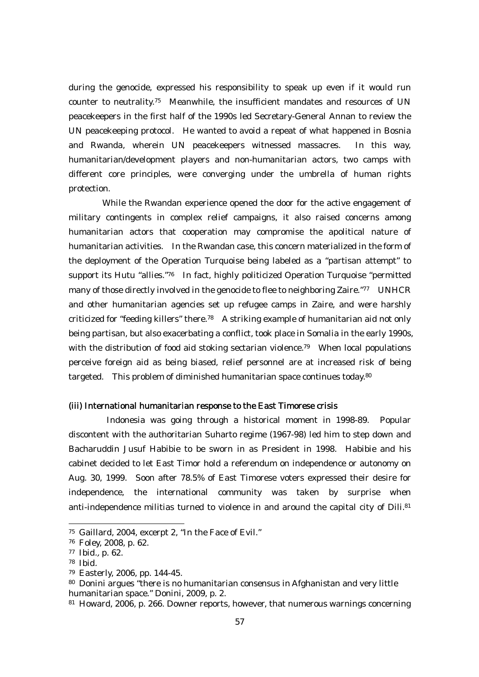during the genocide, expressed his responsibility to speak up even if it would run counter to neutrality.75 Meanwhile, the insufficient mandates and resources of UN peacekeepers in the first half of the 1990s led Secretary-General Annan to review the UN peacekeeping protocol. He wanted to avoid a repeat of what happened in Bosnia and Rwanda, wherein UN peacekeepers witnessed massacres. In this way, humanitarian/development players and non-humanitarian actors, two camps with different core principles, were converging under the umbrella of human rights protection.

While the Rwandan experience opened the door for the active engagement of military contingents in complex relief campaigns, it also raised concerns among humanitarian actors that cooperation may compromise the apolitical nature of humanitarian activities. In the Rwandan case, this concern materialized in the form of the deployment of the Operation Turquoise being labeled as a "partisan attempt" to support its Hutu "allies."76 In fact, highly politicized Operation Turquoise "permitted many of those directly involved in the genocide to flee to neighboring Zaire."77 UNHCR and other humanitarian agencies set up refugee camps in Zaire, and were harshly criticized for "feeding killers" there.78 A striking example of humanitarian aid not only being partisan, but also exacerbating a conflict, took place in Somalia in the early 1990s, with the distribution of food aid stoking sectarian violence.<sup>79</sup> When local populations perceive foreign aid as being biased, relief personnel are at increased risk of being targeted. This problem of diminished humanitarian space continues today.<sup>80</sup>

#### (iii) International humanitarian response to the East Timorese crisis

 Indonesia was going through a historical moment in 1998-89. Popular discontent with the authoritarian Suharto regime (1967-98) led him to step down and Bacharuddin Jusuf Habibie to be sworn in as President in 1998. Habibie and his cabinet decided to let East Timor hold a referendum on independence or autonomy on Aug. 30, 1999. Soon after 78.5% of East Timorese voters expressed their desire for independence, the international community was taken by surprise when anti-independence militias turned to violence in and around the capital city of Dili.81

<sup>75</sup> Gaillard, 2004, excerpt 2, "In the Face of Evil."

<sup>76</sup> Foley, 2008, p. 62.

<sup>77</sup> Ibid., p. 62.

<sup>78</sup> Ibid.

<sup>79</sup> Easterly, 2006, pp. 144-45.

<sup>80</sup> Donini argues "there is no humanitarian consensus in Afghanistan and very little humanitarian space." Donini, 2009, p. 2.

<sup>81</sup> Howard, 2006, p. 266. Downer reports, however, that numerous warnings concerning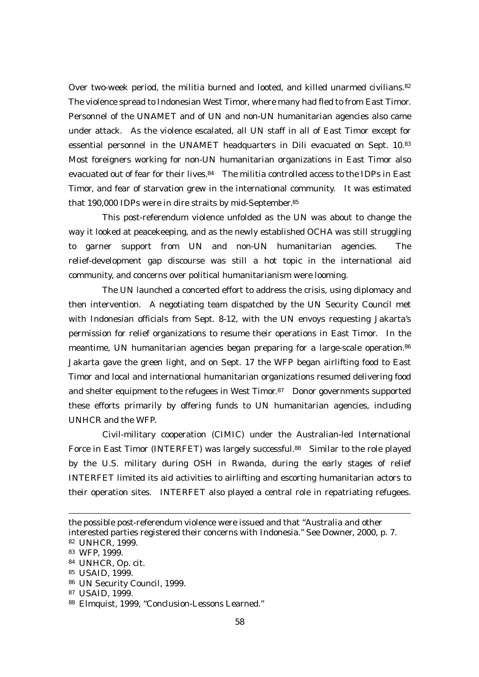Over two-week period, the militia burned and looted, and killed unarmed civilians.<sup>82</sup> The violence spread to Indonesian West Timor, where many had fled to from East Timor. Personnel of the UNAMET and of UN and non-UN humanitarian agencies also came under attack. As the violence escalated, all UN staff in all of East Timor except for essential personnel in the UNAMET headquarters in Dili evacuated on Sept. 10.83 Most foreigners working for non-UN humanitarian organizations in East Timor also evacuated out of fear for their lives.<sup>84</sup> The militia controlled access to the IDPs in East Timor, and fear of starvation grew in the international community. It was estimated that 190,000 IDPs were in dire straits by mid-September.85

This post-referendum violence unfolded as the UN was about to change the way it looked at peacekeeping, and as the newly established OCHA was still struggling to garner support from UN and non-UN humanitarian agencies. The relief-development gap discourse was still a hot topic in the international aid community, and concerns over political humanitarianism were looming.

 The UN launched a concerted effort to address the crisis, using diplomacy and then intervention. A negotiating team dispatched by the UN Security Council met with Indonesian officials from Sept. 8-12, with the UN envoys requesting Jakarta's permission for relief organizations to resume their operations in East Timor. In the meantime, UN humanitarian agencies began preparing for a large-scale operation.<sup>86</sup> Jakarta gave the green light, and on Sept. 17 the WFP began airlifting food to East Timor and local and international humanitarian organizations resumed delivering food and shelter equipment to the refugees in West Timor.<sup>87</sup> Donor governments supported these efforts primarily by offering funds to UN humanitarian agencies, including UNHCR and the WFP.

Civil-military cooperation (CIMIC) under the Australian-led International Force in East Timor (INTERFET) was largely successful.<sup>88</sup> Similar to the role played by the U.S. military during OSH in Rwanda, during the early stages of relief INTERFET limited its aid activities to airlifting and escorting humanitarian actors to their operation sites. INTERFET also played a central role in repatriating refugees.

-

the possible post-referendum violence were issued and that "Australia and other

interested parties registered their concerns with Indonesia." See Downer, 2000, p. 7.

<sup>82</sup> UNHCR, 1999.

<sup>83</sup> WFP, 1999.

<sup>84</sup> UNHCR, Op. cit.

<sup>85</sup> USAID, 1999.

<sup>86</sup> UN Security Council, 1999.

<sup>87</sup> USAID, 1999.

<sup>88</sup> Elmquist, 1999, "Conclusion-Lessons Learned."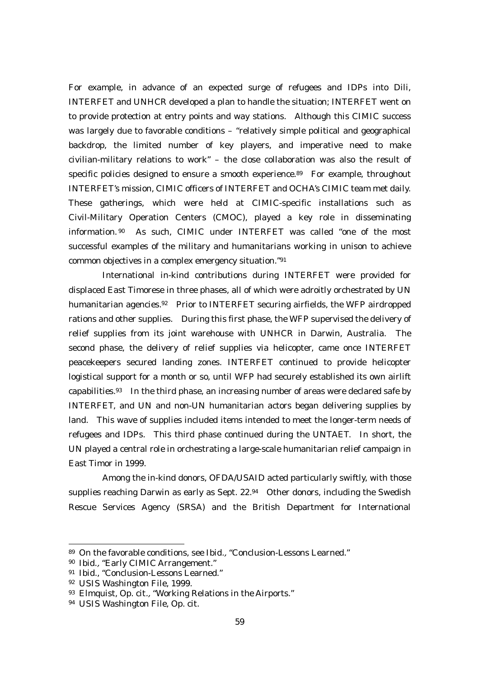For example, in advance of an expected surge of refugees and IDPs into Dili, INTERFET and UNHCR developed a plan to handle the situation; INTERFET went on to provide protection at entry points and way stations. Although this CIMIC success was largely due to favorable conditions – "relatively simple political and geographical backdrop, the limited number of key players, and imperative need to make civilian-military relations to work" – the close collaboration was also the result of specific policies designed to ensure a smooth experience.<sup>89</sup> For example, throughout INTERFET's mission, CIMIC officers of INTERFET and OCHA's CIMIC team met daily. These gatherings, which were held at CIMIC-specific installations such as Civil-Military Operation Centers (CMOC), played a key role in disseminating information. 90 As such, CIMIC under INTERFET was called "one of the most successful examples of the military and humanitarians working in unison to achieve common objectives in a complex emergency situation."91

 International in-kind contributions during INTERFET were provided for displaced East Timorese in three phases, all of which were adroitly orchestrated by UN humanitarian agencies.<sup>92</sup> Prior to INTERFET securing airfields, the WFP airdropped rations and other supplies. During this first phase, the WFP supervised the delivery of relief supplies from its joint warehouse with UNHCR in Darwin, Australia. The second phase, the delivery of relief supplies via helicopter, came once INTERFET peacekeepers secured landing zones. INTERFET continued to provide helicopter logistical support for a month or so, until WFP had securely established its own airlift capabilities.93 In the third phase, an increasing number of areas were declared safe by INTERFET, and UN and non-UN humanitarian actors began delivering supplies by land. This wave of supplies included items intended to meet the longer-term needs of refugees and IDPs. This third phase continued during the UNTAET. In short, the UN played a central role in orchestrating a large-scale humanitarian relief campaign in East Timor in 1999.

Among the in-kind donors, OFDA/USAID acted particularly swiftly, with those supplies reaching Darwin as early as Sept. 22.<sup>94</sup> Other donors, including the Swedish Rescue Services Agency (SRSA) and the British Department for International

<sup>89</sup> On the favorable conditions, see Ibid., "Conclusion-Lessons Learned."

<sup>90</sup> Ibid., "Early CIMIC Arrangement."

<sup>91</sup> Ibid., "Conclusion-Lessons Learned."

<sup>92</sup> USIS Washington File, 1999.

<sup>93</sup> Elmquist, Op. cit., "Working Relations in the Airports."

<sup>94</sup> USIS Washington File, Op. cit.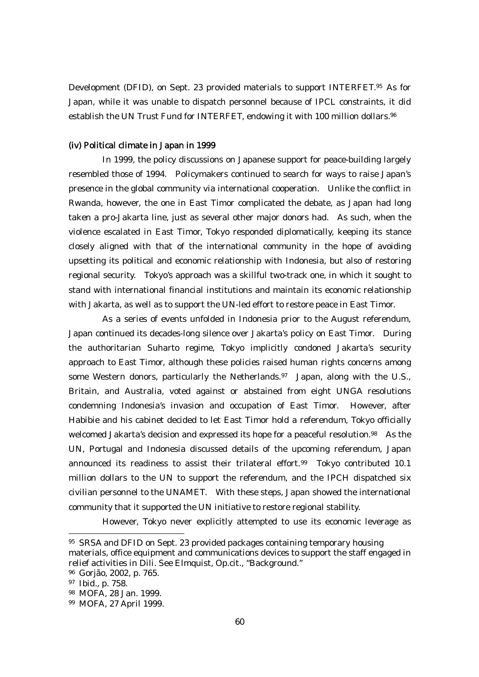Development (DFID), on Sept. 23 provided materials to support INTERFET.95 As for Japan, while it was unable to dispatch personnel because of IPCL constraints, it did establish the UN Trust Fund for INTERFET, endowing it with 100 million dollars.<sup>96</sup>

# (iv) Political climate in Japan in 1999

In 1999, the policy discussions on Japanese support for peace-building largely resembled those of 1994. Policymakers continued to search for ways to raise Japan's presence in the global community via international cooperation. Unlike the conflict in Rwanda, however, the one in East Timor complicated the debate, as Japan had long taken a pro-Jakarta line, just as several other major donors had. As such, when the violence escalated in East Timor, Tokyo responded diplomatically, keeping its stance closely aligned with that of the international community in the hope of avoiding upsetting its political and economic relationship with Indonesia, but also of restoring regional security. Tokyo's approach was a skillful two-track one, in which it sought to stand with international financial institutions and maintain its economic relationship with Jakarta, as well as to support the UN-led effort to restore peace in East Timor.

As a series of events unfolded in Indonesia prior to the August referendum, Japan continued its decades-long silence over Jakarta's policy on East Timor. During the authoritarian Suharto regime, Tokyo implicitly condoned Jakarta's security approach to East Timor, although these policies raised human rights concerns among some Western donors, particularly the Netherlands.<sup>97</sup> Japan, along with the U.S., Britain, and Australia, voted against or abstained from eight UNGA resolutions condemning Indonesia's invasion and occupation of East Timor. However, after Habibie and his cabinet decided to let East Timor hold a referendum, Tokyo officially welcomed Jakarta's decision and expressed its hope for a peaceful resolution.<sup>98</sup> As the UN, Portugal and Indonesia discussed details of the upcoming referendum, Japan announced its readiness to assist their trilateral effort.99 Tokyo contributed 10.1 million dollars to the UN to support the referendum, and the IPCH dispatched six civilian personnel to the UNAMET. With these steps, Japan showed the international community that it supported the UN initiative to restore regional stability.

However, Tokyo never explicitly attempted to use its economic leverage as

<sup>95</sup> SRSA and DFID on Sept. 23 provided packages containing temporary housing materials, office equipment and communications devices to support the staff engaged in relief activities in Dili. See Elmquist, Op.cit., "Background."

<sup>96</sup> Gorjão, 2002, p. 765.

<sup>97</sup> Ibid., p. 758.

<sup>98</sup> MOFA, 28 Jan. 1999.

<sup>99</sup> MOFA, 27 April 1999.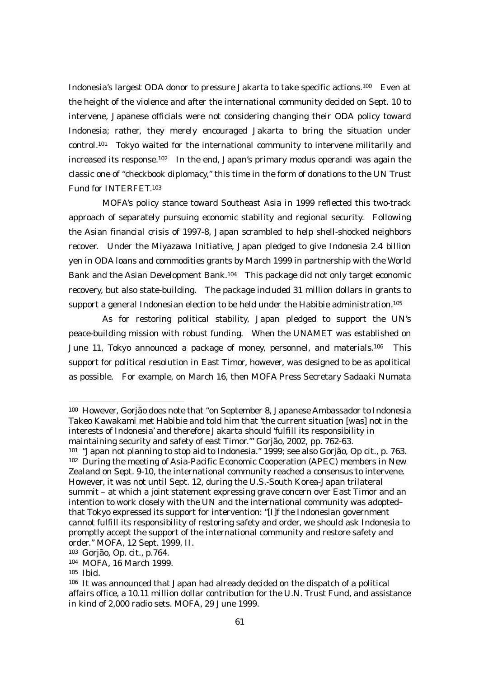Indonesia's largest ODA donor to pressure Jakarta to take specific actions.<sup>100</sup> Even at the height of the violence and after the international community decided on Sept. 10 to intervene, Japanese officials were not considering changing their ODA policy toward Indonesia; rather, they merely encouraged Jakarta to bring the situation under control.101 Tokyo waited for the international community to intervene militarily and increased its response.<sup>102</sup> In the end, Japan's primary modus operandi was again the classic one of "checkbook diplomacy," this time in the form of donations to the UN Trust Fund for INTERFET.103

MOFA's policy stance toward Southeast Asia in 1999 reflected this two-track approach of separately pursuing economic stability and regional security. Following the Asian financial crisis of 1997-8, Japan scrambled to help shell-shocked neighbors recover. Under the Miyazawa Initiative, Japan pledged to give Indonesia 2.4 billion yen in ODA loans and commodities grants by March 1999 in partnership with the World Bank and the Asian Development Bank.104 This package did not only target economic recovery, but also state-building. The package included 31 million dollars in grants to support a general Indonesian election to be held under the Habibie administration.<sup>105</sup>

As for restoring political stability, Japan pledged to support the UN's peace-building mission with robust funding. When the UNAMET was established on June 11, Tokyo announced a package of money, personnel, and materials.<sup>106</sup> This support for political resolution in East Timor, however, was designed to be as apolitical as possible. For example, on March 16, then MOFA Press Secretary Sadaaki Numata

100 However, Gorjão does note that "on September 8, Japanese Ambassador to Indonesia Takeo Kawakami met Habibie and told him that 'the current situation [was] not in the interests of Indonesia' and therefore Jakarta should 'fulfill its responsibility in maintaining security and safety of east Timor.'" Gorjão, 2002, pp. 762-63.

<sup>101 &</sup>quot;Japan not planning to stop aid to Indonesia." 1999; see also Gorjão, Op cit., p. 763. 102 During the meeting of Asia-Pacific Economic Cooperation (APEC) members in New Zealand on Sept. 9-10, the international community reached a consensus to intervene. However, it was not until Sept. 12, during the U.S.-South Korea-Japan trilateral summit – at which a joint statement expressing grave concern over East Timor and an intention to work closely with the UN and the international community was adopted– that Tokyo expressed its support for intervention: "[I]f the Indonesian government cannot fulfill its responsibility of restoring safety and order, we should ask Indonesia to promptly accept the support of the international community and restore safety and order." MOFA, 12 Sept. 1999, II.

<sup>103</sup> Gorjão, Op. cit., p.764.

<sup>104</sup> MOFA, 16 March 1999.

<sup>105</sup> Ibid.

<sup>106</sup> It was announced that Japan had already decided on the dispatch of a political affairs office, a 10.11 million dollar contribution for the U.N. Trust Fund, and assistance in kind of 2,000 radio sets. MOFA, 29 June 1999.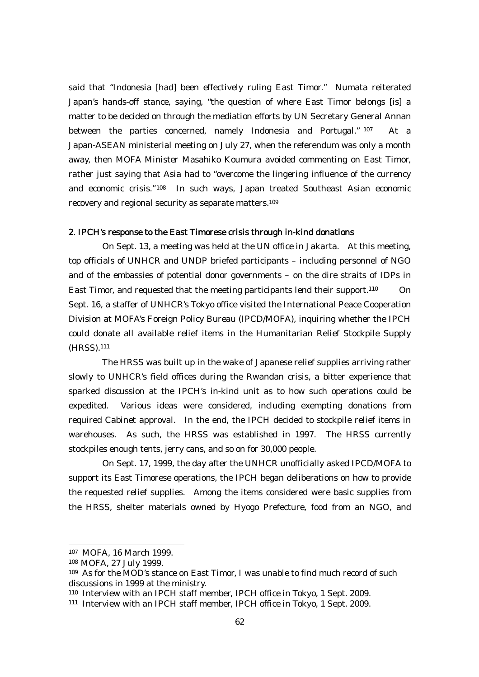said that "Indonesia [had] been effectively ruling East Timor." Numata reiterated Japan's hands-off stance, saying, "the question of where East Timor belongs [is] a matter to be decided on through the mediation efforts by UN Secretary General Annan between the parties concerned, namely Indonesia and Portugal." 107 At a Japan-ASEAN ministerial meeting on July 27, when the referendum was only a month away, then MOFA Minister Masahiko Koumura avoided commenting on East Timor, rather just saying that Asia had to "overcome the lingering influence of the currency and economic crisis." 108 In such ways, Japan treated Southeast Asian economic recovery and regional security as separate matters.109

#### 2. IPCH's response to the East Timorese crisis through in-kind donations

On Sept. 13, a meeting was held at the UN office in Jakarta. At this meeting, top officials of UNHCR and UNDP briefed participants – including personnel of NGO and of the embassies of potential donor governments – on the dire straits of IDPs in East Timor, and requested that the meeting participants lend their support.<sup>110</sup> On Sept. 16, a staffer of UNHCR's Tokyo office visited the International Peace Cooperation Division at MOFA's Foreign Policy Bureau (IPCD/MOFA), inquiring whether the IPCH could donate all available relief items in the Humanitarian Relief Stockpile Supply (HRSS).111

The HRSS was built up in the wake of Japanese relief supplies arriving rather slowly to UNHCR's field offices during the Rwandan crisis, a bitter experience that sparked discussion at the IPCH's in-kind unit as to how such operations could be expedited. Various ideas were considered, including exempting donations from required Cabinet approval. In the end, the IPCH decided to stockpile relief items in warehouses. As such, the HRSS was established in 1997. The HRSS currently stockpiles enough tents, jerry cans, and so on for 30,000 people.

On Sept. 17, 1999, the day after the UNHCR unofficially asked IPCD/MOFA to support its East Timorese operations, the IPCH began deliberations on how to provide the requested relief supplies. Among the items considered were basic supplies from the HRSS, shelter materials owned by Hyogo Prefecture, food from an NGO, and

<sup>107</sup> MOFA, 16 March 1999.

<sup>108</sup> MOFA, 27 July 1999.

<sup>109</sup> As for the MOD's stance on East Timor, I was unable to find much record of such discussions in 1999 at the ministry.

<sup>110</sup> Interview with an IPCH staff member, IPCH office in Tokyo, 1 Sept. 2009.

<sup>111</sup> Interview with an IPCH staff member, IPCH office in Tokyo, 1 Sept. 2009.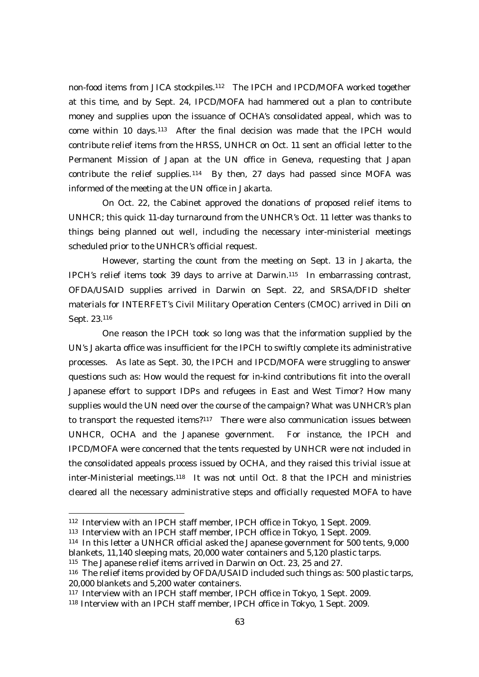non-food items from JICA stockpiles.<sup>112</sup> The IPCH and IPCD/MOFA worked together at this time, and by Sept. 24, IPCD/MOFA had hammered out a plan to contribute money and supplies upon the issuance of OCHA's consolidated appeal, which was to come within 10 days.113 After the final decision was made that the IPCH would contribute relief items from the HRSS, UNHCR on Oct. 11 sent an official letter to the Permanent Mission of Japan at the UN office in Geneva, requesting that Japan contribute the relief supplies.<sup>114</sup> By then, 27 days had passed since MOFA was informed of the meeting at the UN office in Jakarta.

On Oct. 22, the Cabinet approved the donations of proposed relief items to UNHCR; this quick 11-day turnaround from the UNHCR's Oct. 11 letter was thanks to things being planned out well, including the necessary inter-ministerial meetings scheduled prior to the UNHCR's official request.

However, starting the count from the meeting on Sept. 13 in Jakarta, the IPCH's relief items took 39 days to arrive at Darwin.115 In embarrassing contrast, OFDA/USAID supplies arrived in Darwin on Sept. 22, and SRSA/DFID shelter materials for INTERFET's Civil Military Operation Centers (CMOC) arrived in Dili on Sept. 23.116

One reason the IPCH took so long was that the information supplied by the UN's Jakarta office was insufficient for the IPCH to swiftly complete its administrative processes. As late as Sept. 30, the IPCH and IPCD/MOFA were struggling to answer questions such as: How would the request for in-kind contributions fit into the overall Japanese effort to support IDPs and refugees in East and West Timor? How many supplies would the UN need over the course of the campaign? What was UNHCR's plan to transport the requested items?<sup>117</sup> There were also communication issues between UNHCR, OCHA and the Japanese government. For instance, the IPCH and IPCD/MOFA were concerned that the tents requested by UNHCR were not included in the consolidated appeals process issued by OCHA, and they raised this trivial issue at inter-Ministerial meetings.118 It was not until Oct. 8 that the IPCH and ministries cleared all the necessary administrative steps and officially requested MOFA to have

<sup>112</sup> Interview with an IPCH staff member, IPCH office in Tokyo, 1 Sept. 2009.

<sup>113</sup> Interview with an IPCH staff member, IPCH office in Tokyo, 1 Sept. 2009.

<sup>114</sup> In this letter a UNHCR official asked the Japanese government for 500 tents, 9,000 blankets, 11,140 sleeping mats, 20,000 water containers and 5,120 plastic tarps.

<sup>115</sup> The Japanese relief items arrived in Darwin on Oct. 23, 25 and 27.

<sup>116</sup> The relief items provided by OFDA/USAID included such things as: 500 plastic tarps, 20,000 blankets and 5,200 water containers.

<sup>117</sup> Interview with an IPCH staff member, IPCH office in Tokyo, 1 Sept. 2009.

<sup>118</sup> Interview with an IPCH staff member, IPCH office in Tokyo, 1 Sept. 2009.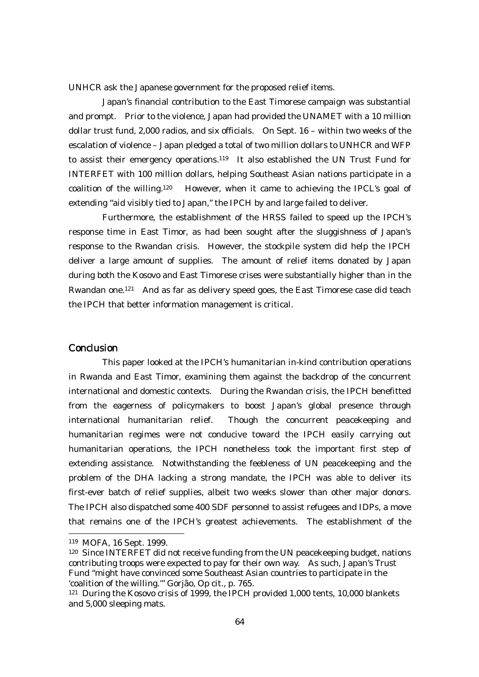UNHCR ask the Japanese government for the proposed relief items.

Japan's financial contribution to the East Timorese campaign was substantial and prompt. Prior to the violence, Japan had provided the UNAMET with a 10 million dollar trust fund, 2,000 radios, and six officials. On Sept. 16 – within two weeks of the escalation of violence – Japan pledged a total of two million dollars to UNHCR and WFP to assist their emergency operations.<sup>119</sup> It also established the UN Trust Fund for INTERFET with 100 million dollars, helping Southeast Asian nations participate in a coalition of the willing.120 However, when it came to achieving the IPCL's goal of extending "aid visibly tied to Japan," the IPCH by and large failed to deliver.

Furthermore, the establishment of the HRSS failed to speed up the IPCH's response time in East Timor, as had been sought after the sluggishness of Japan's response to the Rwandan crisis. However, the stockpile system did help the IPCH deliver a large amount of supplies. The amount of relief items donated by Japan during both the Kosovo and East Timorese crises were substantially higher than in the Rwandan one.121 And as far as delivery speed goes, the East Timorese case did teach the IPCH that better information management is critical.

### **Conclusion**

 This paper looked at the IPCH's humanitarian in-kind contribution operations in Rwanda and East Timor, examining them against the backdrop of the concurrent international and domestic contexts. During the Rwandan crisis, the IPCH benefitted from the eagerness of policymakers to boost Japan's global presence through international humanitarian relief. Though the concurrent peacekeeping and humanitarian regimes were not conducive toward the IPCH easily carrying out humanitarian operations, the IPCH nonetheless took the important first step of extending assistance. Notwithstanding the feebleness of UN peacekeeping and the problem of the DHA lacking a strong mandate, the IPCH was able to deliver its first-ever batch of relief supplies, albeit two weeks slower than other major donors. The IPCH also dispatched some 400 SDF personnel to assist refugees and IDPs, a move that remains one of the IPCH's greatest achievements. The establishment of the

<sup>119</sup> MOFA, 16 Sept. 1999.

<sup>120</sup> Since INTERFET did not receive funding from the UN peacekeeping budget, nations contributing troops were expected to pay for their own way. As such, Japan's Trust Fund "might have convinced some Southeast Asian countries to participate in the 'coalition of the willing.'" Gorjão, Op cit., p. 765.

<sup>121</sup> During the Kosovo crisis of 1999, the IPCH provided 1,000 tents, 10,000 blankets and 5,000 sleeping mats.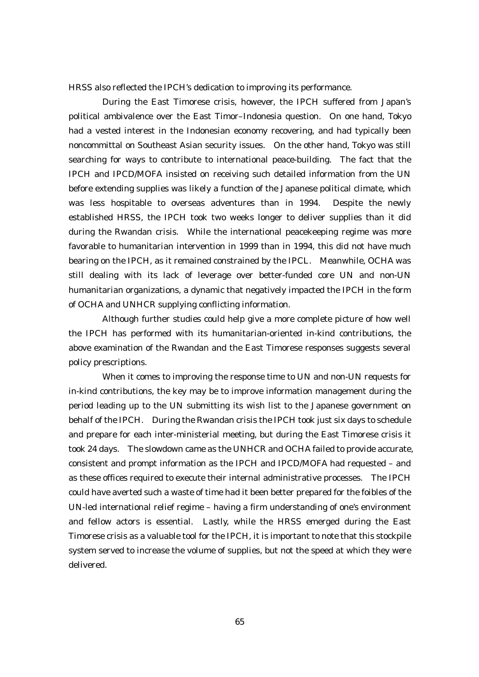HRSS also reflected the IPCH's dedication to improving its performance.

 During the East Timorese crisis, however, the IPCH suffered from Japan's political ambivalence over the East Timor–Indonesia question. On one hand, Tokyo had a vested interest in the Indonesian economy recovering, and had typically been noncommittal on Southeast Asian security issues. On the other hand, Tokyo was still searching for ways to contribute to international peace-building. The fact that the IPCH and IPCD/MOFA insisted on receiving such detailed information from the UN before extending supplies was likely a function of the Japanese political climate, which was less hospitable to overseas adventures than in 1994. Despite the newly established HRSS, the IPCH took two weeks longer to deliver supplies than it did during the Rwandan crisis. While the international peacekeeping regime was more favorable to humanitarian intervention in 1999 than in 1994, this did not have much bearing on the IPCH, as it remained constrained by the IPCL. Meanwhile, OCHA was still dealing with its lack of leverage over better-funded core UN and non-UN humanitarian organizations, a dynamic that negatively impacted the IPCH in the form of OCHA and UNHCR supplying conflicting information.

Although further studies could help give a more complete picture of how well the IPCH has performed with its humanitarian-oriented in-kind contributions, the above examination of the Rwandan and the East Timorese responses suggests several policy prescriptions.

When it comes to improving the response time to UN and non-UN requests for in-kind contributions, the key may be to improve information management during the period leading up to the UN submitting its wish list to the Japanese government on behalf of the IPCH. During the Rwandan crisis the IPCH took just six days to schedule and prepare for each inter-ministerial meeting, but during the East Timorese crisis it took 24 days. The slowdown came as the UNHCR and OCHA failed to provide accurate, consistent and prompt information as the IPCH and IPCD/MOFA had requested – and as these offices required to execute their internal administrative processes. The IPCH could have averted such a waste of time had it been better prepared for the foibles of the UN-led international relief regime – having a firm understanding of one's environment and fellow actors is essential. Lastly, while the HRSS emerged during the East Timorese crisis as a valuable tool for the IPCH, it is important to note that this stockpile system served to increase the volume of supplies, but not the speed at which they were delivered.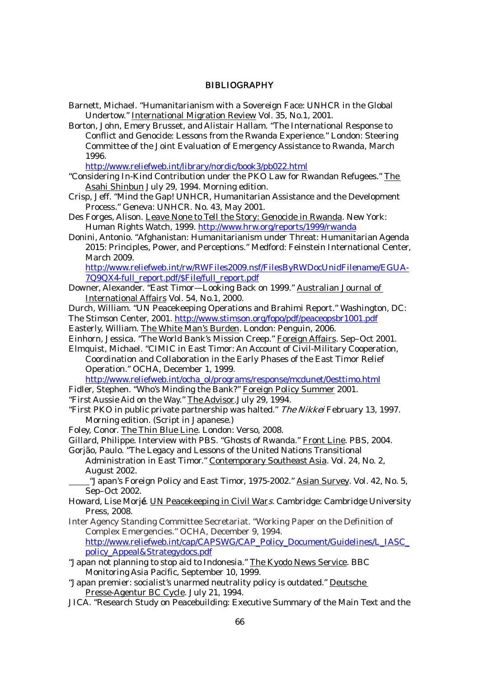#### BIBLIOGRAPHY

- Barnett, Michael. "Humanitarianism with a Sovereign Face: UNHCR in the Global Undertow." International Migration Review Vol. 35, No.1, 2001.
- Borton, John, Emery Brusset, and Alistair Hallam. "The International Response to Conflict and Genocide: Lessons from the Rwanda Experience." London: Steering Committee of the Joint Evaluation of Emergency Assistance to Rwanda, March 1996.

http://www.reliefweb.int/library/nordic/book3/pb022.html

- "Considering In-Kind Contribution under the PKO Law for Rwandan Refugees." The Asahi Shinbun July 29, 1994. Morning edition.
- Crisp, Jeff. "Mind the Gap! UNHCR, Humanitarian Assistance and the Development Process." Geneva: UNHCR. No. 43, May 2001.
- Des Forges, Alison. Leave None to Tell the Story: Genocide in Rwanda. New York: Human Rights Watch, 1999. http://www.hrw.org/reports/1999/rwanda
- Donini, Antonio. "Afghanistan: Humanitarianism under Threat: Humanitarian Agenda 2015: Principles, Power, and Perceptions." Medford: Feinstein International Center, March 2009.

http://www.reliefweb.int/rw/RWFiles2009.nsf/FilesByRWDocUnidFilename/EGUA-7Q9QX4-full\_report.pdf/\$File/full\_report.pdf

- Downer, Alexander. "East Timor—Looking Back on 1999." Australian Journal of International Affairs Vol. 54, No.1, 2000.
- Durch, William. "UN Peacekeeping Operations and Brahimi Report." Washington, DC: The Stimson Center, 2001. http://www.stimson.org/fopo/pdf/peaceopsbr1001.pdf
- Easterly, William. The White Man's Burden. London: Penguin, 2006.
- Einhorn, Jessica. "The World Bank's Mission Creep." Foreign Affairs. Sep–Oct 2001.
- Elmquist, Michael. "CIMIC in East Timor: An Account of Civil-Military Cooperation, Coordination and Collaboration in the Early Phases of the East Timor Relief Operation." OCHA, December 1, 1999.

http://www.reliefweb.int/ocha\_ol/programs/response/mcdunet/0esttimo.html Fidler, Stephen. "Who's Minding the Bank?" Foreign Policy Summer 2001.

- "First Aussie Aid on the Way." The Advisor.July 29, 1994.
- "First PKO in public private partnership was halted." The Nikkei February 13, 1997. Morning edition. (Script in Japanese.)
- Foley, Conor. The Thin Blue Line. London: Verso, 2008.
- Gillard, Philippe. Interview with PBS. "Ghosts of Rwanda." Front Line. PBS, 2004.
- Gorjão, Paulo. "The Legacy and Lessons of the United Nations Transitional

Administration in East Timor." Contemporary Southeast Asia. Vol. 24, No. 2, August 2002.

- "Japan's Foreign Policy and East Timor, 1975-2002." Asian Survey. Vol. 42, No. 5, Sep–Oct 2002.
- Howard, Lise Morjé. UN Peacekeeping in Civil Wars. Cambridge: Cambridge University Press, 2008.
- Inter Agency Standing Committee Secretariat. "Working Paper on the Definition of Complex Emergencies." OCHA, December 9, 1994. http://www.reliefweb.int/cap/CAPSWG/CAP\_Policy\_Document/Guidelines/L\_IASC\_ policy\_Appeal&Strategydocs.pdf
- "Japan not planning to stop aid to Indonesia." The Kyodo News Service. BBC Monitoring Asia Pacific, September 10, 1999.

"Japan premier: socialist's unarmed neutrality policy is outdated." Deutsche Presse-Agentur BC Cycle. July 21, 1994.

JICA. "Research Study on Peacebuilding: Executive Summary of the Main Text and the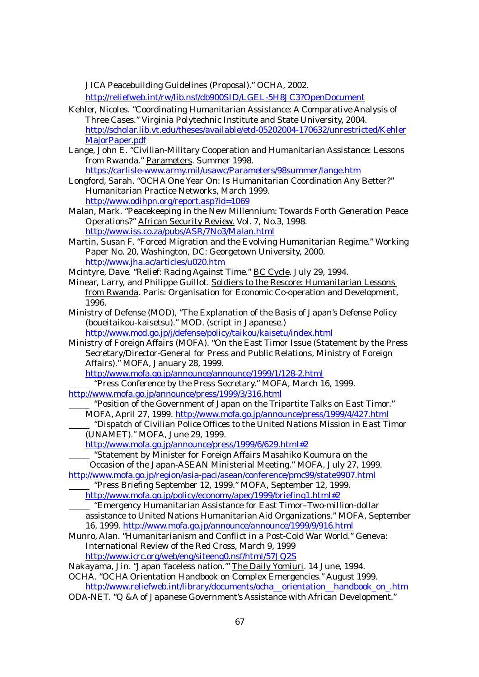JICA Peacebuilding Guidelines (Proposal)." OCHA, 2002.

http://reliefweb.int/rw/lib.nsf/db900SID/LGEL-5H8JC3?OpenDocument

- Kehler, Nicoles. "Coordinating Humanitarian Assistance: A Comparative Analysis of Three Cases." Virginia Polytechnic Institute and State University, 2004. http://scholar.lib.vt.edu/theses/available/etd-05202004-170632/unrestricted/Kehler MajorPaper.pdf
- Lange, John E. "Civilian-Military Cooperation and Humanitarian Assistance: Lessons from Rwanda." Parameters. Summer 1998.

https://carlisle-www.army.mil/usawc/Parameters/98summer/lange.htm

- Longford, Sarah. "OCHA One Year On: Is Humanitarian Coordination Any Better?" Humanitarian Practice Networks, March 1999. http://www.odihpn.org/report.asp?id=1069
- Malan, Mark. "Peacekeeping in the New Millennium: Towards Forth Generation Peace Operations?" African Security Review. Vol. 7, No.3, 1998. http://www.iss.co.za/pubs/ASR/7No3/Malan.html
- Martin, Susan F. "Forced Migration and the Evolving Humanitarian Regime." Working Paper No. 20, Washington, DC: Georgetown University, 2000. http://www.jha.ac/articles/u020.htm

Mcintyre, Dave. "Relief: Racing Against Time." BC Cycle. July 29, 1994.

- Minear, Larry, and Philippe Guillot. Soldiers to the Rescore: Humanitarian Lessons from Rwanda. Paris: Organisation for Economic Co-operation and Development, 1996.
- Ministry of Defense (MOD), "The Explanation of the Basis of Japan's Defense Policy (boueitaikou-kaisetsu)." MOD. (script in Japanese.) http://www.mod.go.jp/j/defense/policy/taikou/kaisetu/index.html
- Ministry of Foreign Affairs (MOFA). "On the East Timor Issue (Statement by the Press Secretary/Director-General for Press and Public Relations, Ministry of Foreign Affairs)." MOFA, January 28, 1999.

http://www.mofa.go.jp/announce/announce/1999/1/128-2.html

 "Press Conference by the Press Secretary." MOFA, March 16, 1999. http://www.mofa.go.jp/announce/press/1999/3/316.html

- "Position of the Government of Japan on the Tripartite Talks on East Timor." MOFA, April 27, 1999. http://www.mofa.go.jp/announce/press/1999/4/427.html
	- "Dispatch of Civilian Police Offices to the United Nations Mission in East Timor (UNAMET)." MOFA, June 29, 1999.

http://www.mofa.go.jp/announce/press/1999/6/629.html#2

 "Statement by Minister for Foreign Affairs Masahiko Koumura on the Occasion of the Japan-ASEAN Ministerial Meeting." MOFA, July 27, 1999.

http://www.mofa.go.jp/region/asia-paci/asean/conference/pmc99/state9907.html

 "Press Briefing September 12, 1999." MOFA, September 12, 1999. http://www.mofa.go.jp/policy/economy/apec/1999/briefing1.html#2

- "Emergency Humanitarian Assistance for East Timor–Two-million-dollar assistance to United Nations Humanitarian Aid Organizations." MOFA, September 16, 1999. http://www.mofa.go.jp/announce/announce/1999/9/916.html
- Munro, Alan. "Humanitarianism and Conflict in a Post-Cold War World." Geneva: International Review of the Red Cross, March 9, 1999 http://www.icrc.org/web/eng/siteeng0.nsf/html/57JQ2S

Nakayama, Jin. "Japan 'faceless nation.'" The Daily Yomiuri. 14 June, 1994.

OCHA. "OCHA Orientation Handbook on Complex Emergencies." August 1999. http://www.reliefweb.int/library/documents/ocha\_\_orientation\_\_handbook\_on\_.htm

ODA-NET. "Q &A of Japanese Government's Assistance with African Development."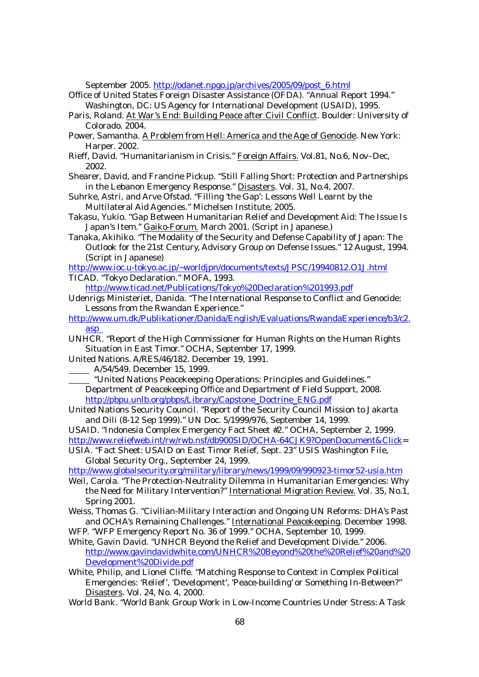September 2005. http://odanet.npgo.jp/archives/2005/09/post\_6.html

Office of United States Foreign Disaster Assistance (OFDA). "Annual Report 1994." Washington, DC: US Agency for International Development (USAID), 1995.

- Paris, Roland. At War's End: Building Peace after Civil Conflict. Boulder: University of Colorado. 2004.
- Power, Samantha. A Problem from Hell: America and the Age of Genocide. New York: Harper. 2002.
- Rieff, David. "Humanitarianism in Crisis." Foreign Affairs. Vol.81, No.6, Nov–Dec, 2002.
- Shearer, David, and Francine Pickup. "Still Falling Short: Protection and Partnerships in the Lebanon Emergency Response." Disasters. Vol. 31, No.4, 2007.
- Suhrke, Astri, and Arve Ofstad. "Filling 'the Gap': Lessons Well Learnt by the Multilateral Aid Agencies." Michelsen Institute, 2005.
- Takasu, Yukio. "Gap Between Humanitarian Relief and Development Aid: The Issue Is Japan's Item." Gaiko-Forum. March 2001. (Script in Japanese.)
- Tanaka, Akihiko. "The Modality of the Security and Defense Capability of Japan: The Outlook for the 21st Century, Advisory Group on Defense Issues." 12 August, 1994. (Script in Japanese)
- http://www.ioc.u-tokyo.ac.jp/~worldjpn/documents/texts/JPSC/19940812.O1J.html TICAD. "Tokyo Declaration." MOFA, 1993.

http://www.ticad.net/Publications/Tokyo%20Declaration%201993.pdf

- Udenrigs Ministeriet, Danida. "The International Response to Conflict and Genocide: Lessons from the Rwandan Experience."
- http://www.um.dk/Publikationer/Danida/English/Evaluations/RwandaExperience/b3/c2. asp
- UNHCR. "Report of the High Commissioner for Human Rights on the Human Rights Situation in East Timor." OCHA, September 17, 1999.
- United Nations. A/RES/46/182. December 19, 1991.
- A/54/549. December 15, 1999.
- "United Nations Peacekeeping Operations: Principles and Guidelines." Department of Peacekeeping Office and Department of Field Support, 2008. http://pbpu.unlb.org/pbps/Library/Capstone\_Doctrine\_ENG.pdf
- United Nations Security Council. "Report of the Security Council Mission to Jakarta and Dili (8-12 Sep 1999)." UN Doc. 5/1999/976, September 14, 1999.
- USAID. "Indonesia Complex Emergency Fact Sheet #2." OCHA, September 2, 1999. http://www.reliefweb.int/rw/rwb.nsf/db900SID/OCHA-64CJK9?OpenDocument&Click=
- USIA. "Fact Sheet: USAID on East Timor Relief, Sept. 23" USIS Washington File, Global Security Org., September 24, 1999.

http://www.globalsecurity.org/military/library/news/1999/09/990923-timor52-usia.htm

- Weil, Carola. "The Protection-Neutrality Dilemma in Humanitarian Emergencies: Why the Need for Military Intervention?" International Migration Review. Vol. 35, No.1, Spring 2001.
- Weiss, Thomas G. "Civilian-Military Interaction and Ongoing UN Reforms: DHA's Past and OCHA's Remaining Challenges." International Peacekeeping. December 1998.
- WFP. "WFP Emergency Report No. 36 of 1999." OCHA, September 10, 1999.
- White, Gavin David. "UNHCR Beyond the Relief and Development Divide." 2006. http://www.gavindavidwhite.com/UNHCR%20Beyond%20the%20Relief%20and%20 Development%20Divide.pdf
- White, Philip, and Lionel Cliffe. "Matching Response to Context in Complex Political Emergencies: 'Relief', 'Development', 'Peace-building' or Something In-Between?" Disasters. Vol. 24, No. 4, 2000.
- World Bank. "World Bank Group Work in Low-Income Countries Under Stress: A Task